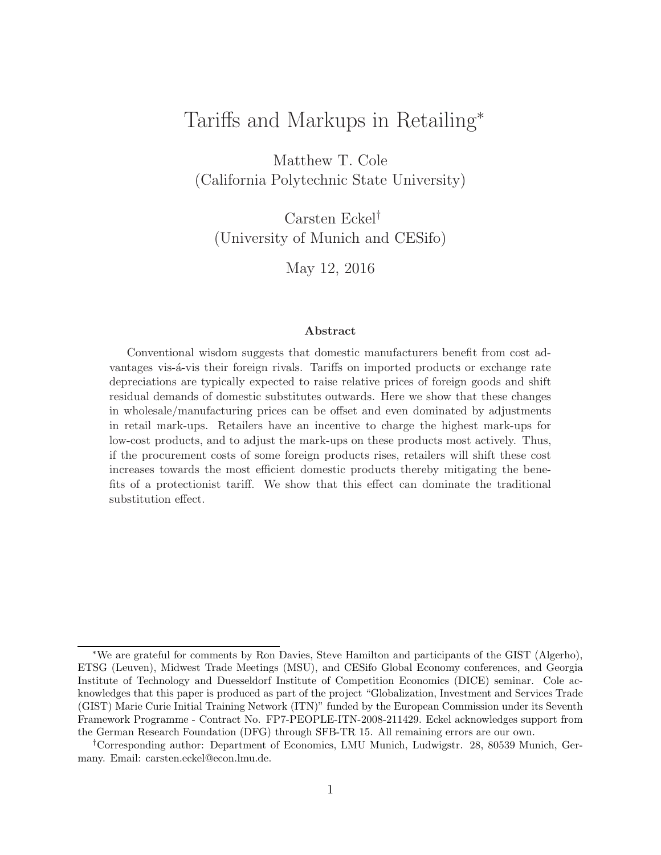# Tariffs and Markups in Retailing<sup>∗</sup>

Matthew T. Cole (California Polytechnic State University)

Carsten Eckel† (University of Munich and CESifo)

May 12, 2016

#### Abstract

Conventional wisdom suggests that domestic manufacturers benefit from cost advantages vis- $\acute{a}$ -vis their foreign rivals. Tariffs on imported products or exchange rate depreciations are typically expected to raise relative prices of foreign goods and shift residual demands of domestic substitutes outwards. Here we show that these changes in wholesale/manufacturing prices can be offset and even dominated by adjustments in retail mark-ups. Retailers have an incentive to charge the highest mark-ups for low-cost products, and to adjust the mark-ups on these products most actively. Thus, if the procurement costs of some foreign products rises, retailers will shift these cost increases towards the most efficient domestic products thereby mitigating the benefits of a protectionist tariff. We show that this effect can dominate the traditional substitution effect.

<sup>∗</sup>We are grateful for comments by Ron Davies, Steve Hamilton and participants of the GIST (Algerho), ETSG (Leuven), Midwest Trade Meetings (MSU), and CESifo Global Economy conferences, and Georgia Institute of Technology and Duesseldorf Institute of Competition Economics (DICE) seminar. Cole acknowledges that this paper is produced as part of the project "Globalization, Investment and Services Trade (GIST) Marie Curie Initial Training Network (ITN)" funded by the European Commission under its Seventh Framework Programme - Contract No. FP7-PEOPLE-ITN-2008-211429. Eckel acknowledges support from the German Research Foundation (DFG) through SFB-TR 15. All remaining errors are our own.

<sup>†</sup>Corresponding author: Department of Economics, LMU Munich, Ludwigstr. 28, 80539 Munich, Germany. Email: carsten.eckel@econ.lmu.de.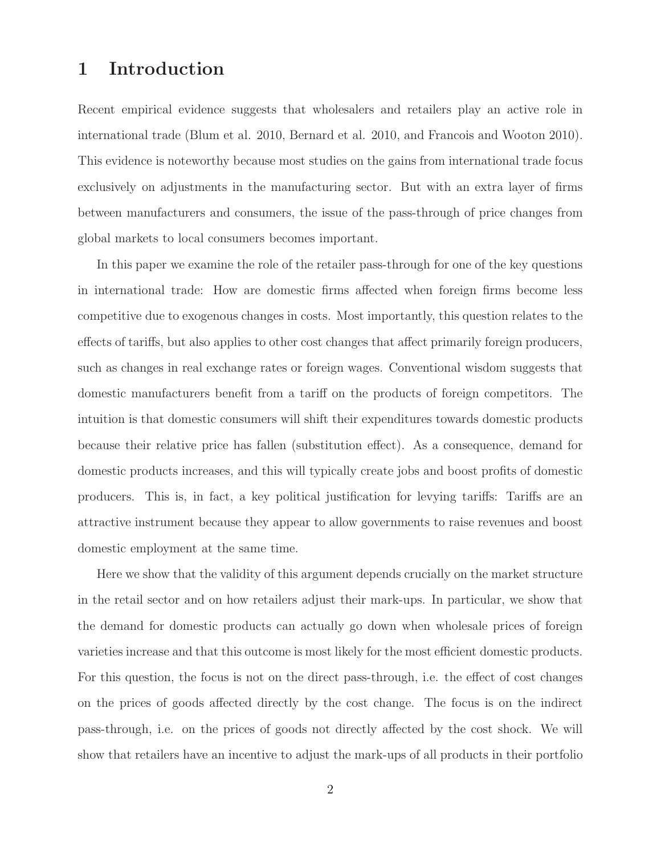## 1 Introduction

Recent empirical evidence suggests that wholesalers and retailers play an active role in international trade (Blum et al. 2010, Bernard et al. 2010, and Francois and Wooton 2010). This evidence is noteworthy because most studies on the gains from international trade focus exclusively on adjustments in the manufacturing sector. But with an extra layer of firms between manufacturers and consumers, the issue of the pass-through of price changes from global markets to local consumers becomes important.

In this paper we examine the role of the retailer pass-through for one of the key questions in international trade: How are domestic firms affected when foreign firms become less competitive due to exogenous changes in costs. Most importantly, this question relates to the effects of tariffs, but also applies to other cost changes that affect primarily foreign producers, such as changes in real exchange rates or foreign wages. Conventional wisdom suggests that domestic manufacturers benefit from a tariff on the products of foreign competitors. The intuition is that domestic consumers will shift their expenditures towards domestic products because their relative price has fallen (substitution effect). As a consequence, demand for domestic products increases, and this will typically create jobs and boost profits of domestic producers. This is, in fact, a key political justification for levying tariffs: Tariffs are an attractive instrument because they appear to allow governments to raise revenues and boost domestic employment at the same time.

Here we show that the validity of this argument depends crucially on the market structure in the retail sector and on how retailers adjust their mark-ups. In particular, we show that the demand for domestic products can actually go down when wholesale prices of foreign varieties increase and that this outcome is most likely for the most efficient domestic products. For this question, the focus is not on the direct pass-through, i.e. the effect of cost changes on the prices of goods affected directly by the cost change. The focus is on the indirect pass-through, i.e. on the prices of goods not directly affected by the cost shock. We will show that retailers have an incentive to adjust the mark-ups of all products in their portfolio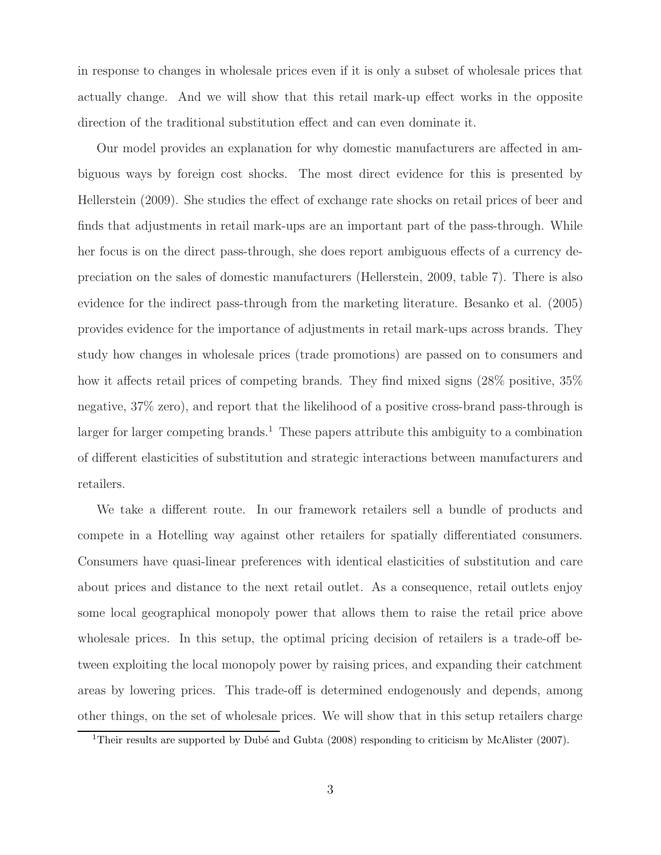in response to changes in wholesale prices even if it is only a subset of wholesale prices that actually change. And we will show that this retail mark-up effect works in the opposite direction of the traditional substitution effect and can even dominate it.

Our model provides an explanation for why domestic manufacturers are affected in ambiguous ways by foreign cost shocks. The most direct evidence for this is presented by Hellerstein (2009). She studies the effect of exchange rate shocks on retail prices of beer and finds that adjustments in retail mark-ups are an important part of the pass-through. While her focus is on the direct pass-through, she does report ambiguous effects of a currency depreciation on the sales of domestic manufacturers (Hellerstein, 2009, table 7). There is also evidence for the indirect pass-through from the marketing literature. Besanko et al. (2005) provides evidence for the importance of adjustments in retail mark-ups across brands. They study how changes in wholesale prices (trade promotions) are passed on to consumers and how it affects retail prices of competing brands. They find mixed signs (28% positive, 35%) negative, 37% zero), and report that the likelihood of a positive cross-brand pass-through is larger for larger competing brands.<sup>1</sup> These papers attribute this ambiguity to a combination of different elasticities of substitution and strategic interactions between manufacturers and retailers.

We take a different route. In our framework retailers sell a bundle of products and compete in a Hotelling way against other retailers for spatially differentiated consumers. Consumers have quasi-linear preferences with identical elasticities of substitution and care about prices and distance to the next retail outlet. As a consequence, retail outlets enjoy some local geographical monopoly power that allows them to raise the retail price above wholesale prices. In this setup, the optimal pricing decision of retailers is a trade-off between exploiting the local monopoly power by raising prices, and expanding their catchment areas by lowering prices. This trade-off is determined endogenously and depends, among other things, on the set of wholesale prices. We will show that in this setup retailers charge

<sup>&</sup>lt;sup>1</sup>Their results are supported by Dubé and Gubta  $(2008)$  responding to criticism by McAlister  $(2007)$ .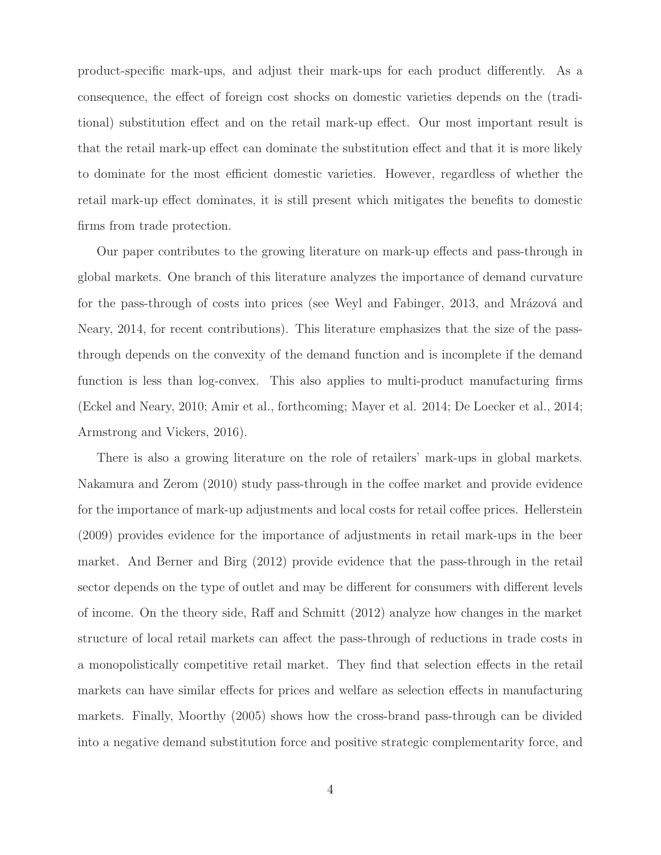product-specific mark-ups, and adjust their mark-ups for each product differently. As a consequence, the effect of foreign cost shocks on domestic varieties depends on the (traditional) substitution effect and on the retail mark-up effect. Our most important result is that the retail mark-up effect can dominate the substitution effect and that it is more likely to dominate for the most efficient domestic varieties. However, regardless of whether the retail mark-up effect dominates, it is still present which mitigates the benefits to domestic firms from trade protection.

Our paper contributes to the growing literature on mark-up effects and pass-through in global markets. One branch of this literature analyzes the importance of demand curvature for the pass-through of costs into prices (see Weyl and Fabinger, 2013, and Mrázová and Neary, 2014, for recent contributions). This literature emphasizes that the size of the passthrough depends on the convexity of the demand function and is incomplete if the demand function is less than log-convex. This also applies to multi-product manufacturing firms (Eckel and Neary, 2010; Amir et al., forthcoming; Mayer et al. 2014; De Loecker et al., 2014; Armstrong and Vickers, 2016).

There is also a growing literature on the role of retailers' mark-ups in global markets. Nakamura and Zerom (2010) study pass-through in the coffee market and provide evidence for the importance of mark-up adjustments and local costs for retail coffee prices. Hellerstein (2009) provides evidence for the importance of adjustments in retail mark-ups in the beer market. And Berner and Birg (2012) provide evidence that the pass-through in the retail sector depends on the type of outlet and may be different for consumers with different levels of income. On the theory side, Raff and Schmitt (2012) analyze how changes in the market structure of local retail markets can affect the pass-through of reductions in trade costs in a monopolistically competitive retail market. They find that selection effects in the retail markets can have similar effects for prices and welfare as selection effects in manufacturing markets. Finally, Moorthy (2005) shows how the cross-brand pass-through can be divided into a negative demand substitution force and positive strategic complementarity force, and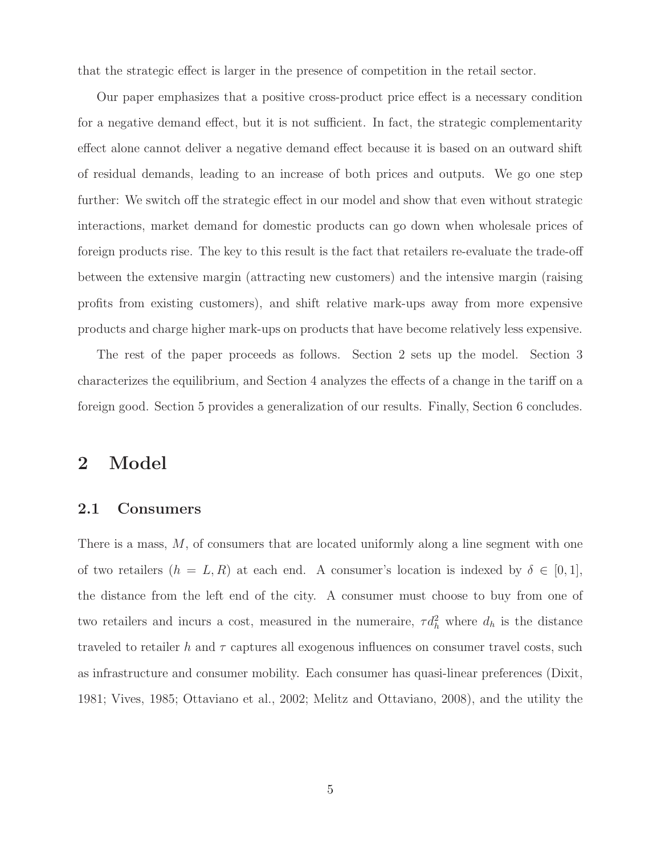that the strategic effect is larger in the presence of competition in the retail sector.

Our paper emphasizes that a positive cross-product price effect is a necessary condition for a negative demand effect, but it is not sufficient. In fact, the strategic complementarity effect alone cannot deliver a negative demand effect because it is based on an outward shift of residual demands, leading to an increase of both prices and outputs. We go one step further: We switch off the strategic effect in our model and show that even without strategic interactions, market demand for domestic products can go down when wholesale prices of foreign products rise. The key to this result is the fact that retailers re-evaluate the trade-off between the extensive margin (attracting new customers) and the intensive margin (raising profits from existing customers), and shift relative mark-ups away from more expensive products and charge higher mark-ups on products that have become relatively less expensive.

The rest of the paper proceeds as follows. Section 2 sets up the model. Section 3 characterizes the equilibrium, and Section 4 analyzes the effects of a change in the tariff on a foreign good. Section 5 provides a generalization of our results. Finally, Section 6 concludes.

#### 2 Model

#### 2.1 Consumers

There is a mass, M, of consumers that are located uniformly along a line segment with one of two retailers  $(h = L, R)$  at each end. A consumer's location is indexed by  $\delta \in [0, 1],$ the distance from the left end of the city. A consumer must choose to buy from one of two retailers and incurs a cost, measured in the numeraire,  $\tau d_h^2$  where  $d_h$  is the distance traveled to retailer h and  $\tau$  captures all exogenous influences on consumer travel costs, such as infrastructure and consumer mobility. Each consumer has quasi-linear preferences (Dixit, 1981; Vives, 1985; Ottaviano et al., 2002; Melitz and Ottaviano, 2008), and the utility the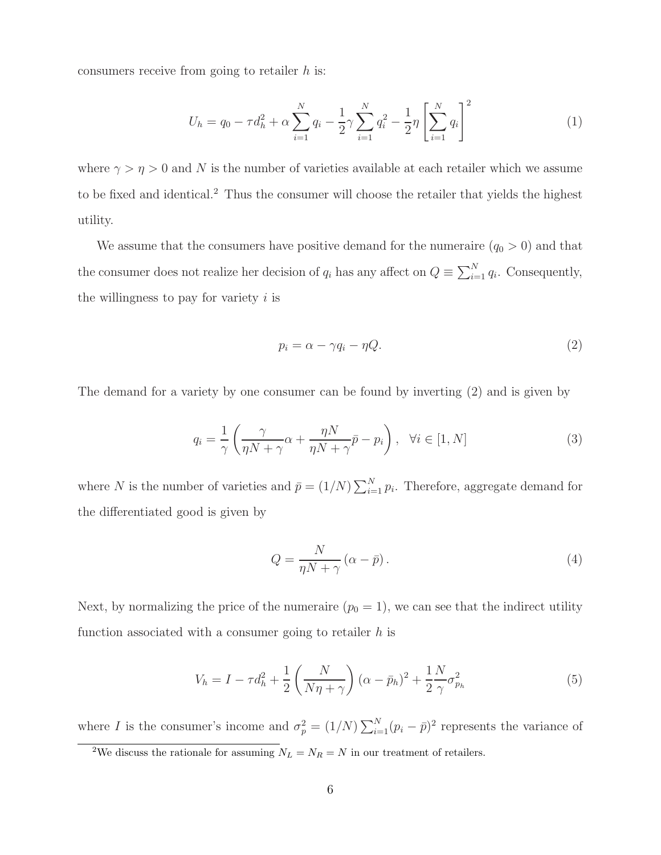consumers receive from going to retailer  $h$  is:

$$
U_h = q_0 - \tau d_h^2 + \alpha \sum_{i=1}^N q_i - \frac{1}{2} \gamma \sum_{i=1}^N q_i^2 - \frac{1}{2} \eta \left[ \sum_{i=1}^N q_i \right]^2 \tag{1}
$$

where  $\gamma > \eta > 0$  and N is the number of varieties available at each retailer which we assume to be fixed and identical.<sup>2</sup> Thus the consumer will choose the retailer that yields the highest utility.

We assume that the consumers have positive demand for the numeraire  $(q_0 > 0)$  and that the consumer does not realize her decision of  $q_i$  has any affect on  $Q \equiv \sum_{i=1}^{N} q_i$ . Consequently, the willingness to pay for variety  $i$  is

$$
p_i = \alpha - \gamma q_i - \eta Q. \tag{2}
$$

The demand for a variety by one consumer can be found by inverting (2) and is given by

$$
q_i = \frac{1}{\gamma} \left( \frac{\gamma}{\eta N + \gamma} \alpha + \frac{\eta N}{\eta N + \gamma} \bar{p} - p_i \right), \quad \forall i \in [1, N]
$$
 (3)

where N is the number of varieties and  $\bar{p} = (1/N) \sum_{i=1}^{N} p_i$ . Therefore, aggregate demand for the differentiated good is given by

$$
Q = \frac{N}{\eta N + \gamma} \left( \alpha - \bar{p} \right). \tag{4}
$$

Next, by normalizing the price of the numeraire  $(p_0 = 1)$ , we can see that the indirect utility function associated with a consumer going to retailer  $h$  is

$$
V_h = I - \tau d_h^2 + \frac{1}{2} \left( \frac{N}{N\eta + \gamma} \right) (\alpha - \bar{p}_h)^2 + \frac{1}{2} \frac{N}{\gamma} \sigma_{p_h}^2
$$
 (5)

where I is the consumer's income and  $\sigma_p^2 = (1/N) \sum_{i=1}^N (p_i - \bar{p})^2$  represents the variance of

<sup>&</sup>lt;sup>2</sup>We discuss the rationale for assuming  $N_L = N_R = N$  in our treatment of retailers.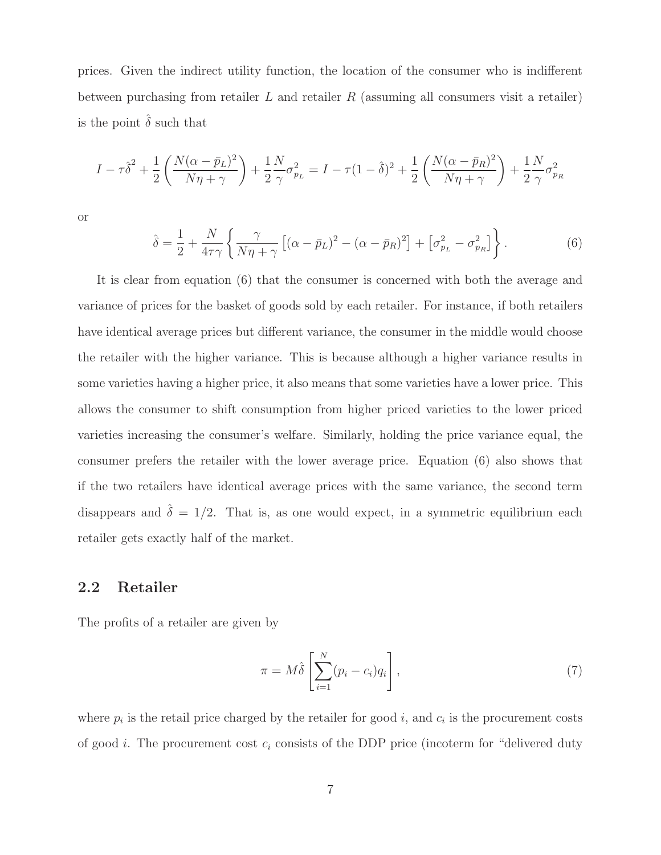prices. Given the indirect utility function, the location of the consumer who is indifferent between purchasing from retailer  $L$  and retailer  $R$  (assuming all consumers visit a retailer) is the point  $\hat{\delta}$  such that

$$
I - \tau \hat{\delta}^2 + \frac{1}{2} \left( \frac{N(\alpha - \bar{p}_L)^2}{N\eta + \gamma} \right) + \frac{1}{2} \frac{N}{\gamma} \sigma_{p_L}^2 = I - \tau (1 - \hat{\delta})^2 + \frac{1}{2} \left( \frac{N(\alpha - \bar{p}_R)^2}{N\eta + \gamma} \right) + \frac{1}{2} \frac{N}{\gamma} \sigma_{p_R}^2
$$

or

$$
\hat{\delta} = \frac{1}{2} + \frac{N}{4\tau\gamma} \left\{ \frac{\gamma}{N\eta + \gamma} \left[ (\alpha - \bar{p}_L)^2 - (\alpha - \bar{p}_R)^2 \right] + \left[ \sigma_{p_L}^2 - \sigma_{p_R}^2 \right] \right\}.
$$
 (6)

It is clear from equation (6) that the consumer is concerned with both the average and variance of prices for the basket of goods sold by each retailer. For instance, if both retailers have identical average prices but different variance, the consumer in the middle would choose the retailer with the higher variance. This is because although a higher variance results in some varieties having a higher price, it also means that some varieties have a lower price. This allows the consumer to shift consumption from higher priced varieties to the lower priced varieties increasing the consumer's welfare. Similarly, holding the price variance equal, the consumer prefers the retailer with the lower average price. Equation (6) also shows that if the two retailers have identical average prices with the same variance, the second term disappears and  $\hat{\delta} = 1/2$ . That is, as one would expect, in a symmetric equilibrium each retailer gets exactly half of the market.

#### 2.2 Retailer

The profits of a retailer are given by

$$
\pi = M\hat{\delta}\left[\sum_{i=1}^{N} (p_i - c_i) q_i\right],\tag{7}
$$

where  $p_i$  is the retail price charged by the retailer for good i, and  $c_i$  is the procurement costs of good *i*. The procurement cost  $c_i$  consists of the DDP price (incoterm for "delivered duty")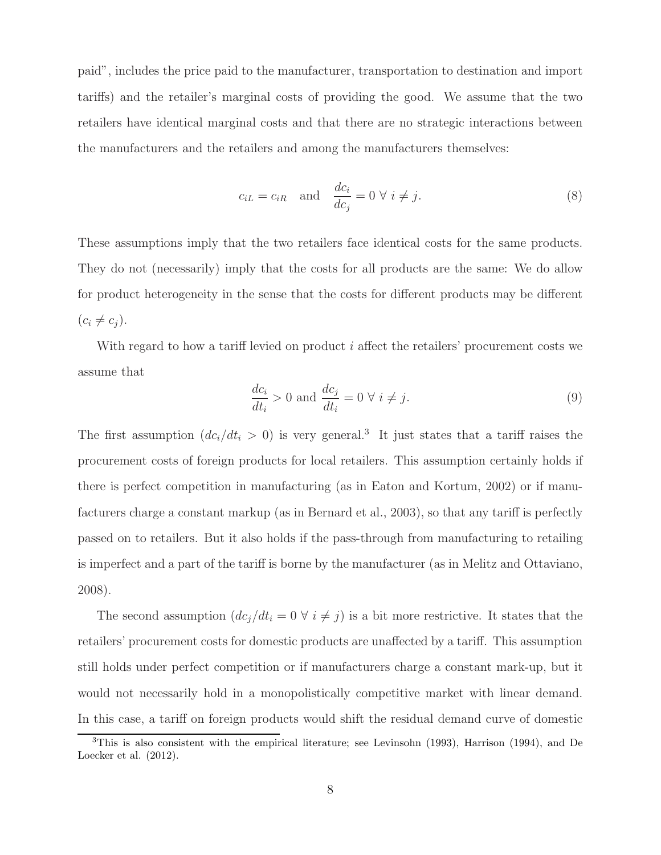paid", includes the price paid to the manufacturer, transportation to destination and import tariffs) and the retailer's marginal costs of providing the good. We assume that the two retailers have identical marginal costs and that there are no strategic interactions between the manufacturers and the retailers and among the manufacturers themselves:

$$
c_{iL} = c_{iR} \quad \text{and} \quad \frac{dc_i}{dc_j} = 0 \ \forall \ i \neq j. \tag{8}
$$

These assumptions imply that the two retailers face identical costs for the same products. They do not (necessarily) imply that the costs for all products are the same: We do allow for product heterogeneity in the sense that the costs for different products may be different  $(c_i \neq c_j).$ 

With regard to how a tariff levied on product  $i$  affect the retailers' procurement costs we assume that

$$
\frac{dc_i}{dt_i} > 0 \text{ and } \frac{dc_j}{dt_i} = 0 \forall i \neq j.
$$
\n(9)

The first assumption  $(dc_i/dt_i > 0)$  is very general.<sup>3</sup> It just states that a tariff raises the procurement costs of foreign products for local retailers. This assumption certainly holds if there is perfect competition in manufacturing (as in Eaton and Kortum, 2002) or if manufacturers charge a constant markup (as in Bernard et al., 2003), so that any tariff is perfectly passed on to retailers. But it also holds if the pass-through from manufacturing to retailing is imperfect and a part of the tariff is borne by the manufacturer (as in Melitz and Ottaviano, 2008).

The second assumption  $(dc_j/dt_i = 0 \forall i \neq j)$  is a bit more restrictive. It states that the retailers' procurement costs for domestic products are unaffected by a tariff. This assumption still holds under perfect competition or if manufacturers charge a constant mark-up, but it would not necessarily hold in a monopolistically competitive market with linear demand. In this case, a tariff on foreign products would shift the residual demand curve of domestic

<sup>3</sup>This is also consistent with the empirical literature; see Levinsohn (1993), Harrison (1994), and De Loecker et al.  $(2012)$ .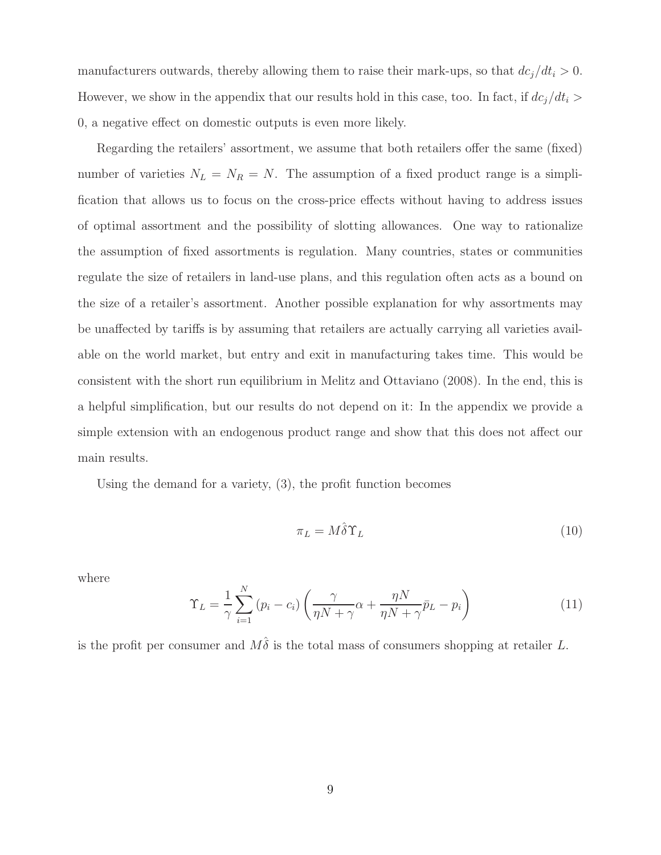manufacturers outwards, thereby allowing them to raise their mark-ups, so that  $dc_j/dt_i > 0$ . However, we show in the appendix that our results hold in this case, too. In fact, if  $dc_j/dt_i >$ 0, a negative effect on domestic outputs is even more likely.

Regarding the retailers' assortment, we assume that both retailers offer the same (fixed) number of varieties  $N_L = N_R = N$ . The assumption of a fixed product range is a simplification that allows us to focus on the cross-price effects without having to address issues of optimal assortment and the possibility of slotting allowances. One way to rationalize the assumption of fixed assortments is regulation. Many countries, states or communities regulate the size of retailers in land-use plans, and this regulation often acts as a bound on the size of a retailer's assortment. Another possible explanation for why assortments may be unaffected by tariffs is by assuming that retailers are actually carrying all varieties available on the world market, but entry and exit in manufacturing takes time. This would be consistent with the short run equilibrium in Melitz and Ottaviano (2008). In the end, this is a helpful simplification, but our results do not depend on it: In the appendix we provide a simple extension with an endogenous product range and show that this does not affect our main results.

Using the demand for a variety, (3), the profit function becomes

$$
\pi_L = M \hat{\delta} \Upsilon_L \tag{10}
$$

where

$$
\Upsilon_L = \frac{1}{\gamma} \sum_{i=1}^{N} (p_i - c_i) \left( \frac{\gamma}{\eta N + \gamma} \alpha + \frac{\eta N}{\eta N + \gamma} \bar{p}_L - p_i \right)
$$
(11)

is the profit per consumer and  $M\hat{\delta}$  is the total mass of consumers shopping at retailer L.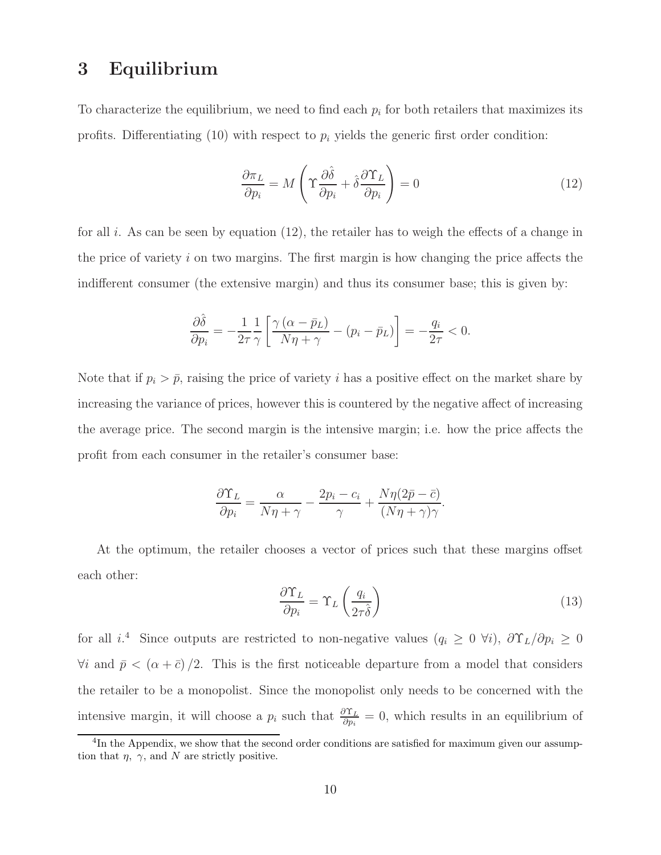### 3 Equilibrium

To characterize the equilibrium, we need to find each  $p_i$  for both retailers that maximizes its profits. Differentiating  $(10)$  with respect to  $p_i$  yields the generic first order condition:

$$
\frac{\partial \pi_L}{\partial p_i} = M \left( \Upsilon \frac{\partial \hat{\delta}}{\partial p_i} + \hat{\delta} \frac{\partial \Upsilon_L}{\partial p_i} \right) = 0 \tag{12}
$$

for all i. As can be seen by equation  $(12)$ , the retailer has to weigh the effects of a change in the price of variety i on two margins. The first margin is how changing the price affects the indifferent consumer (the extensive margin) and thus its consumer base; this is given by:

$$
\frac{\partial \hat{\delta}}{\partial p_i} = -\frac{1}{2\tau} \frac{1}{\gamma} \left[ \frac{\gamma \left( \alpha - \bar{p}_L \right)}{N\eta + \gamma} - \left( p_i - \bar{p}_L \right) \right] = -\frac{q_i}{2\tau} < 0.
$$

Note that if  $p_i > \bar{p}$ , raising the price of variety i has a positive effect on the market share by increasing the variance of prices, however this is countered by the negative affect of increasing the average price. The second margin is the intensive margin; i.e. how the price affects the profit from each consumer in the retailer's consumer base:

$$
\frac{\partial \Upsilon_L}{\partial p_i} = \frac{\alpha}{N\eta + \gamma} - \frac{2p_i - c_i}{\gamma} + \frac{N\eta(2\bar{p} - \bar{c})}{(N\eta + \gamma)\gamma}.
$$

At the optimum, the retailer chooses a vector of prices such that these margins offset each other:

$$
\frac{\partial \Upsilon_L}{\partial p_i} = \Upsilon_L \left( \frac{q_i}{2\tau \hat{\delta}} \right) \tag{13}
$$

for all  $i^4$ . Since outputs are restricted to non-negative values  $(q_i \geq 0 \forall i)$ ,  $\partial \Upsilon_L / \partial p_i \geq 0$  $\forall i$  and  $\bar{p} < (\alpha + \bar{c})/2$ . This is the first noticeable departure from a model that considers the retailer to be a monopolist. Since the monopolist only needs to be concerned with the intensive margin, it will choose a  $p_i$  such that  $\frac{\partial \Upsilon_L}{\partial p_i} = 0$ , which results in an equilibrium of

<sup>&</sup>lt;sup>4</sup>In the Appendix, we show that the second order conditions are satisfied for maximum given our assumption that  $\eta$ ,  $\gamma$ , and N are strictly positive.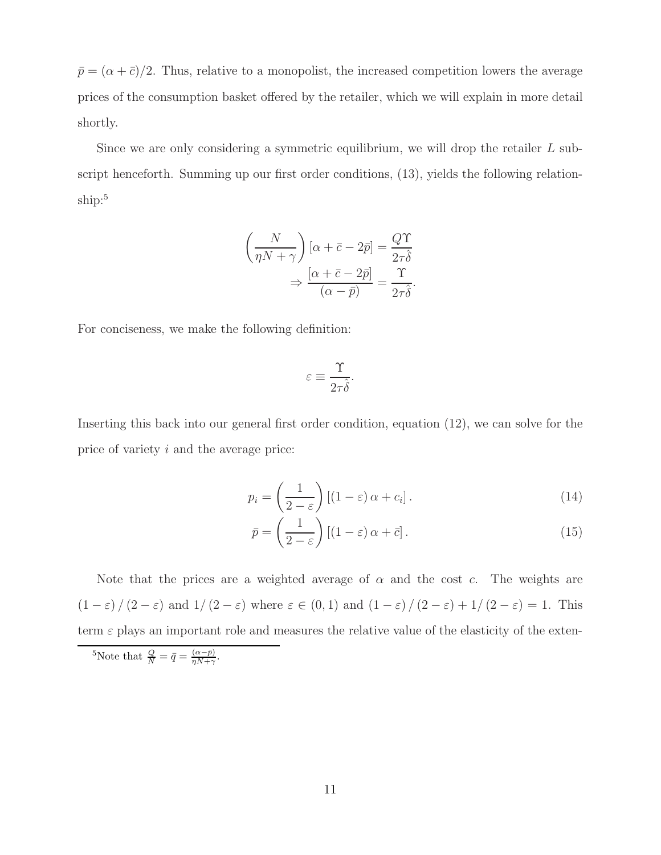$\bar{p} = (\alpha + \bar{c})/2$ . Thus, relative to a monopolist, the increased competition lowers the average prices of the consumption basket offered by the retailer, which we will explain in more detail shortly.

Since we are only considering a symmetric equilibrium, we will drop the retailer L subscript henceforth. Summing up our first order conditions, (13), yields the following relationship:<sup>5</sup>

$$
\left(\frac{N}{\eta N + \gamma}\right) [\alpha + \bar{c} - 2\bar{p}] = \frac{Q\Upsilon}{2\tau \hat{\delta}}
$$

$$
\Rightarrow \frac{[\alpha + \bar{c} - 2\bar{p}]}{(\alpha - \bar{p})} = \frac{\Upsilon}{2\tau \hat{\delta}}.
$$

For conciseness, we make the following definition:

$$
\varepsilon \equiv \frac{\Upsilon}{2\tau\hat{\delta}}.
$$

Inserting this back into our general first order condition, equation (12), we can solve for the price of variety i and the average price:

$$
p_i = \left(\frac{1}{2 - \varepsilon}\right) \left[ (1 - \varepsilon) \alpha + c_i \right].
$$
 (14)

$$
\bar{p} = \left(\frac{1}{2 - \varepsilon}\right) \left[ (1 - \varepsilon) \alpha + \bar{c} \right].
$$
\n(15)

Note that the prices are a weighted average of  $\alpha$  and the cost c. The weights are  $(1 - \varepsilon) / (2 - \varepsilon)$  and  $1/ (2 - \varepsilon)$  where  $\varepsilon \in (0, 1)$  and  $(1 - \varepsilon) / (2 - \varepsilon) + 1/ (2 - \varepsilon) = 1$ . This term  $\varepsilon$  plays an important role and measures the relative value of the elasticity of the exten-

<sup>5</sup>Note that  $\frac{Q}{N} = \bar{q} = \frac{(\alpha - \bar{p})}{\eta N + \gamma}$  $\frac{(\alpha-p)}{\eta N+\gamma}$ .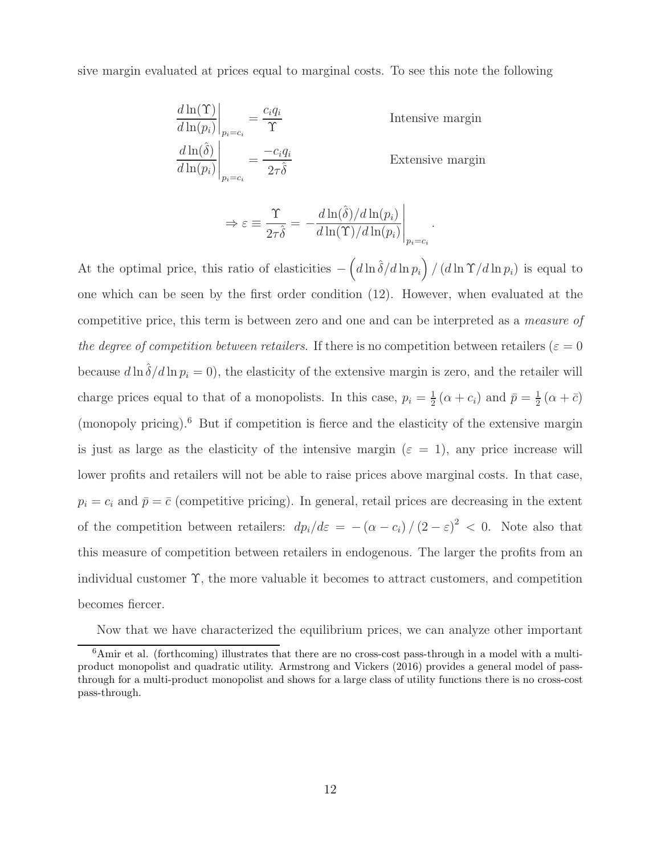sive margin evaluated at prices equal to marginal costs. To see this note the following

$$
\left. \frac{d \ln(\Upsilon)}{d \ln(p_i)} \right|_{p_i = c_i} = \frac{c_i q_i}{\Upsilon}
$$
\nIntensive margin  
\n
$$
\left. \frac{d \ln(\hat{\delta})}{d \ln(p_i)} \right|_{p_i = c_i} = \frac{-c_i q_i}{2\tau \hat{\delta}}
$$
\nExtensive margin  
\nExtensive margin

$$
\Rightarrow \varepsilon \equiv \frac{\Upsilon}{2\tau \hat{\delta}} = -\frac{d \ln(\hat{\delta})/d \ln(p_i)}{d \ln(\Upsilon)/d \ln(p_i)}\Big|_{p_i=c_i}.
$$

At the optimal price, this ratio of elasticities  $-\left(d\ln\hat{\delta}/d\ln p_i\right)/\left(d\ln\Upsilon/d\ln p_i\right)$  is equal to one which can be seen by the first order condition (12). However, when evaluated at the competitive price, this term is between zero and one and can be interpreted as a measure of the degree of competition between retailers. If there is no competition between retailers ( $\varepsilon = 0$ because  $d \ln \hat{\delta}/d \ln p_i = 0$ , the elasticity of the extensive margin is zero, and the retailer will charge prices equal to that of a monopolists. In this case,  $p_i = \frac{1}{2}$  $\frac{1}{2}(\alpha + c_i)$  and  $\bar{p} = \frac{1}{2}$  $rac{1}{2}(\alpha + \bar{c})$ (monopoly pricing).<sup>6</sup> But if competition is fierce and the elasticity of the extensive margin is just as large as the elasticity of the intensive margin ( $\varepsilon = 1$ ), any price increase will lower profits and retailers will not be able to raise prices above marginal costs. In that case,  $p_i = c_i$  and  $\bar{p} = \bar{c}$  (competitive pricing). In general, retail prices are decreasing in the extent of the competition between retailers:  $dp_i/d\varepsilon = -(\alpha - c_i)/(2 - \varepsilon)^2 < 0$ . Note also that this measure of competition between retailers in endogenous. The larger the profits from an individual customer  $\Upsilon$ , the more valuable it becomes to attract customers, and competition becomes fiercer.

Now that we have characterized the equilibrium prices, we can analyze other important

 $6$ Amir et al. (forthcoming) illustrates that there are no cross-cost pass-through in a model with a multiproduct monopolist and quadratic utility. Armstrong and Vickers (2016) provides a general model of passthrough for a multi-product monopolist and shows for a large class of utility functions there is no cross-cost pass-through.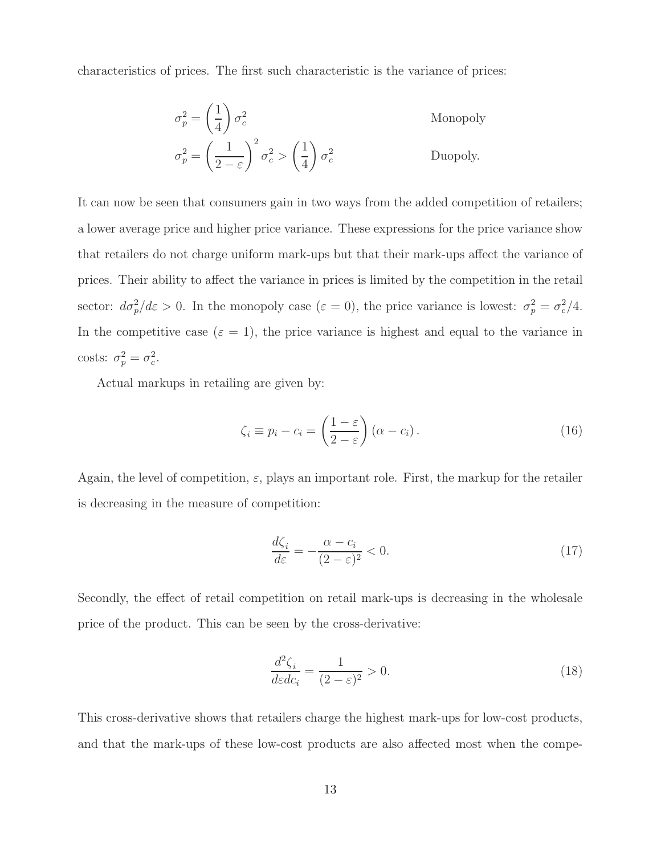characteristics of prices. The first such characteristic is the variance of prices:

$$
\sigma_p^2 = \left(\frac{1}{4}\right)\sigma_c^2
$$
 Monopoly  

$$
\sigma_p^2 = \left(\frac{1}{2-\varepsilon}\right)^2 \sigma_c^2 > \left(\frac{1}{4}\right)\sigma_c^2
$$
 Duopoly.

It can now be seen that consumers gain in two ways from the added competition of retailers; a lower average price and higher price variance. These expressions for the price variance show that retailers do not charge uniform mark-ups but that their mark-ups affect the variance of prices. Their ability to affect the variance in prices is limited by the competition in the retail sector:  $d\sigma_p^2/d\varepsilon > 0$ . In the monopoly case  $(\varepsilon = 0)$ , the price variance is lowest:  $\sigma_p^2 = \sigma_c^2/4$ . In the competitive case  $(\varepsilon = 1)$ , the price variance is highest and equal to the variance in costs:  $\sigma_p^2 = \sigma_c^2$ .

Actual markups in retailing are given by:

$$
\zeta_i \equiv p_i - c_i = \left(\frac{1-\varepsilon}{2-\varepsilon}\right) (\alpha - c_i). \tag{16}
$$

Again, the level of competition,  $\varepsilon$ , plays an important role. First, the markup for the retailer is decreasing in the measure of competition:

$$
\frac{d\zeta_i}{d\varepsilon} = -\frac{\alpha - c_i}{(2 - \varepsilon)^2} < 0. \tag{17}
$$

Secondly, the effect of retail competition on retail mark-ups is decreasing in the wholesale price of the product. This can be seen by the cross-derivative:

$$
\frac{d^2\zeta_i}{d\varepsilon dc_i} = \frac{1}{(2-\varepsilon)^2} > 0.
$$
\n(18)

This cross-derivative shows that retailers charge the highest mark-ups for low-cost products, and that the mark-ups of these low-cost products are also affected most when the compe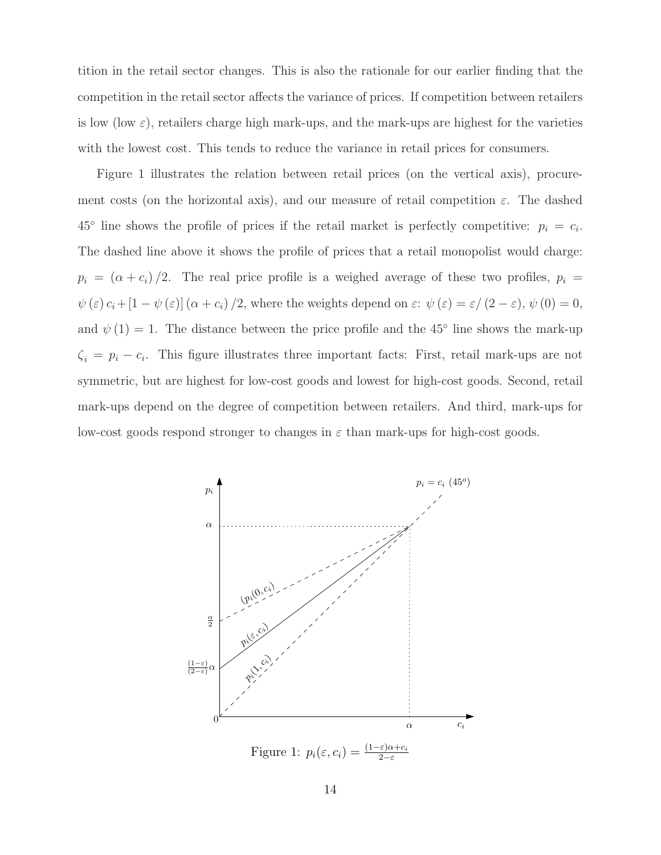tition in the retail sector changes. This is also the rationale for our earlier finding that the competition in the retail sector affects the variance of prices. If competition between retailers is low (low  $\varepsilon$ ), retailers charge high mark-ups, and the mark-ups are highest for the varieties with the lowest cost. This tends to reduce the variance in retail prices for consumers.

Figure 1 illustrates the relation between retail prices (on the vertical axis), procurement costs (on the horizontal axis), and our measure of retail competition  $\varepsilon$ . The dashed  $45^{\circ}$  line shows the profile of prices if the retail market is perfectly competitive:  $p_i = c_i$ . The dashed line above it shows the profile of prices that a retail monopolist would charge:  $p_i = (\alpha + c_i)/2$ . The real price profile is a weighed average of these two profiles,  $p_i =$  $\psi(\varepsilon) c_i+[1-\psi(\varepsilon)] (\alpha+c_i)/2$ , where the weights depend on  $\varepsilon$ :  $\psi(\varepsilon)=\varepsilon/(2-\varepsilon)$ ,  $\psi(0)=0$ , and  $\psi(1) = 1$ . The distance between the price profile and the 45<sup>°</sup> line shows the mark-up  $\zeta_i = p_i - c_i$ . This figure illustrates three important facts: First, retail mark-ups are not symmetric, but are highest for low-cost goods and lowest for high-cost goods. Second, retail mark-ups depend on the degree of competition between retailers. And third, mark-ups for low-cost goods respond stronger to changes in  $\varepsilon$  than mark-ups for high-cost goods.

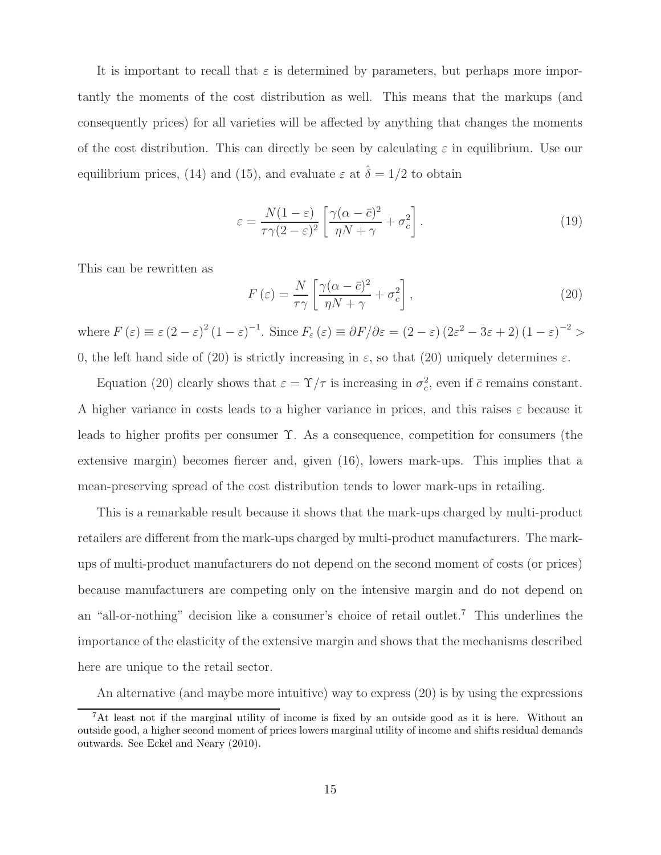It is important to recall that  $\varepsilon$  is determined by parameters, but perhaps more importantly the moments of the cost distribution as well. This means that the markups (and consequently prices) for all varieties will be affected by anything that changes the moments of the cost distribution. This can directly be seen by calculating  $\varepsilon$  in equilibrium. Use our equilibrium prices, (14) and (15), and evaluate  $\varepsilon$  at  $\hat{\delta} = 1/2$  to obtain

$$
\varepsilon = \frac{N(1-\varepsilon)}{\tau\gamma(2-\varepsilon)^2} \left[ \frac{\gamma(\alpha-\bar{c})^2}{\eta N + \gamma} + \sigma_c^2 \right]. \tag{19}
$$

This can be rewritten as

$$
F\left(\varepsilon\right) = \frac{N}{\tau\gamma} \left[ \frac{\gamma(\alpha - \bar{c})^2}{\eta N + \gamma} + \sigma_c^2 \right],\tag{20}
$$

where  $F(\varepsilon) \equiv \varepsilon (2 - \varepsilon)^2 (1 - \varepsilon)^{-1}$ . Since  $F_{\varepsilon}(\varepsilon) \equiv \partial F / \partial \varepsilon = (2 - \varepsilon) (2\varepsilon^2 - 3\varepsilon + 2) (1 - \varepsilon)^{-2} >$ 0, the left hand side of (20) is strictly increasing in  $\varepsilon$ , so that (20) uniquely determines  $\varepsilon$ .

Equation (20) clearly shows that  $\varepsilon = \Upsilon/\tau$  is increasing in  $\sigma_c^2$ , even if  $\bar{c}$  remains constant. A higher variance in costs leads to a higher variance in prices, and this raises  $\varepsilon$  because it leads to higher profits per consumer Υ. As a consequence, competition for consumers (the extensive margin) becomes fiercer and, given (16), lowers mark-ups. This implies that a mean-preserving spread of the cost distribution tends to lower mark-ups in retailing.

This is a remarkable result because it shows that the mark-ups charged by multi-product retailers are different from the mark-ups charged by multi-product manufacturers. The markups of multi-product manufacturers do not depend on the second moment of costs (or prices) because manufacturers are competing only on the intensive margin and do not depend on an "all-or-nothing" decision like a consumer's choice of retail outlet.<sup>7</sup> This underlines the importance of the elasticity of the extensive margin and shows that the mechanisms described here are unique to the retail sector.

An alternative (and maybe more intuitive) way to express (20) is by using the expressions

<sup>7</sup>At least not if the marginal utility of income is fixed by an outside good as it is here. Without an outside good, a higher second moment of prices lowers marginal utility of income and shifts residual demands outwards. See Eckel and Neary (2010).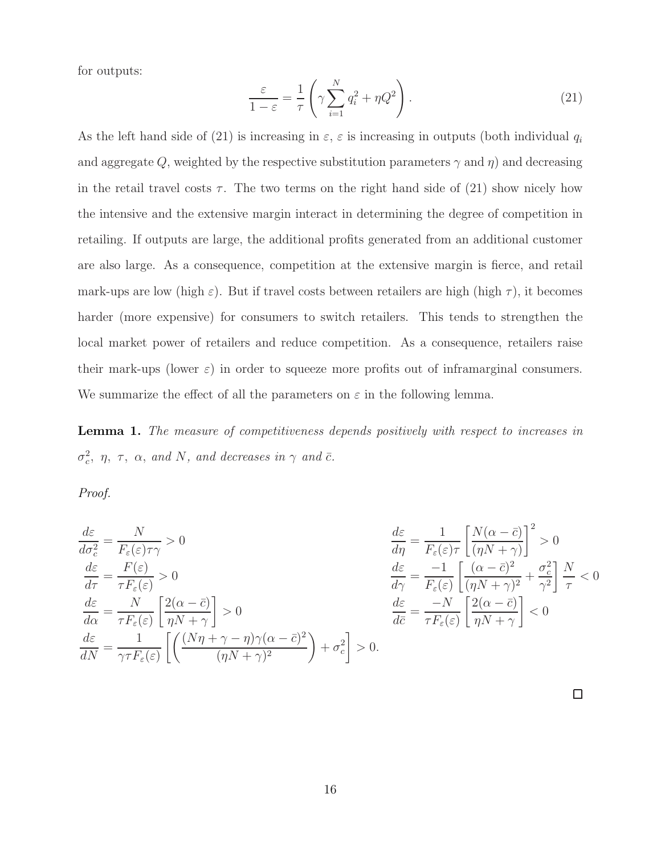for outputs:

$$
\frac{\varepsilon}{1-\varepsilon} = \frac{1}{\tau} \left( \gamma \sum_{i=1}^{N} q_i^2 + \eta Q^2 \right). \tag{21}
$$

As the left hand side of (21) is increasing in  $\varepsilon$ ,  $\varepsilon$  is increasing in outputs (both individual  $q_i$ and aggregate Q, weighted by the respective substitution parameters  $\gamma$  and  $\eta$ ) and decreasing in the retail travel costs  $\tau$ . The two terms on the right hand side of (21) show nicely how the intensive and the extensive margin interact in determining the degree of competition in retailing. If outputs are large, the additional profits generated from an additional customer are also large. As a consequence, competition at the extensive margin is fierce, and retail mark-ups are low (high  $\varepsilon$ ). But if travel costs between retailers are high (high  $\tau$ ), it becomes harder (more expensive) for consumers to switch retailers. This tends to strengthen the local market power of retailers and reduce competition. As a consequence, retailers raise their mark-ups (lower  $\varepsilon$ ) in order to squeeze more profits out of inframarginal consumers. We summarize the effect of all the parameters on  $\varepsilon$  in the following lemma.

**Lemma 1.** The measure of competitiveness depends positively with respect to increases in  $\sigma_c^2$ ,  $\eta$ ,  $\tau$ ,  $\alpha$ , and N, and decreases in  $\gamma$  and  $\bar{c}$ .

Proof.

$$
\frac{d\varepsilon}{d\sigma_c^2} = \frac{N}{F_{\varepsilon}(\varepsilon)\tau\gamma} > 0
$$
  
\n
$$
\frac{d\varepsilon}{d\tau} = \frac{F(\varepsilon)}{\tau F_{\varepsilon}(\varepsilon)} > 0
$$
  
\n
$$
\frac{d\varepsilon}{d\alpha} = \frac{N}{\tau F_{\varepsilon}(\varepsilon)} \left[ \frac{2(\alpha - \bar{c})}{\eta N + \gamma} \right] > 0
$$
  
\n
$$
\frac{d\varepsilon}{dN} = \frac{1}{\gamma \tau F_{\varepsilon}(\varepsilon)} \left[ \left( \frac{(N\eta + \gamma - \eta)\gamma(\alpha - \bar{c})^2}{(\eta N + \gamma)^2} \right) + \sigma_c^2 \right] > 0.
$$

$$
\frac{d\varepsilon}{d\eta} = \frac{1}{F_{\varepsilon}(\varepsilon)\tau} \left[ \frac{N(\alpha - \bar{c})}{(\eta N + \gamma)} \right]^2 > 0
$$

$$
\frac{d\varepsilon}{d\gamma} = \frac{-1}{F_{\varepsilon}(\varepsilon)} \left[ \frac{(\alpha - \bar{c})^2}{(\eta N + \gamma)^2} + \frac{\sigma_c^2}{\gamma^2} \right] \frac{N}{\tau} < 0
$$

$$
\frac{d\varepsilon}{d\bar{c}} = \frac{-N}{\tau F_{\varepsilon}(\varepsilon)} \left[ \frac{2(\alpha - \bar{c})}{\eta N + \gamma} \right] < 0
$$

 $\Box$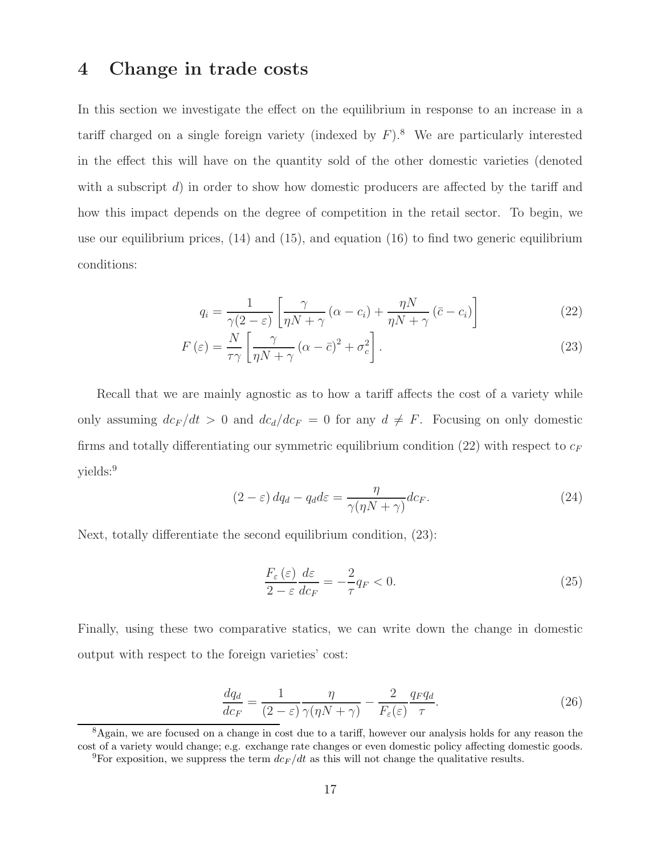### 4 Change in trade costs

In this section we investigate the effect on the equilibrium in response to an increase in a tariff charged on a single foreign variety (indexed by  $F$ ).<sup>8</sup> We are particularly interested in the effect this will have on the quantity sold of the other domestic varieties (denoted with a subscript  $d$ ) in order to show how domestic producers are affected by the tariff and how this impact depends on the degree of competition in the retail sector. To begin, we use our equilibrium prices,  $(14)$  and  $(15)$ , and equation  $(16)$  to find two generic equilibrium conditions:

$$
q_i = \frac{1}{\gamma(2-\varepsilon)} \left[ \frac{\gamma}{\eta N + \gamma} \left( \alpha - c_i \right) + \frac{\eta N}{\eta N + \gamma} \left( \bar{c} - c_i \right) \right]
$$
 (22)

$$
F\left(\varepsilon\right) = \frac{N}{\tau\gamma} \left[ \frac{\gamma}{\eta N + \gamma} \left( \alpha - \bar{c} \right)^2 + \sigma_c^2 \right]. \tag{23}
$$

Recall that we are mainly agnostic as to how a tariff affects the cost of a variety while only assuming  $dc_F/dt > 0$  and  $dc_d/dc_F = 0$  for any  $d \neq F$ . Focusing on only domestic firms and totally differentiating our symmetric equilibrium condition (22) with respect to  $c_F$ yields:<sup>9</sup>

$$
(2 - \varepsilon) dq_d - q_d d\varepsilon = \frac{\eta}{\gamma(\eta N + \gamma)} dc_F.
$$
\n(24)

Next, totally differentiate the second equilibrium condition, (23):

$$
\frac{F_{\varepsilon}\left(\varepsilon\right)}{2-\varepsilon}\frac{d\varepsilon}{dc_F}=-\frac{2}{\tau}q_F<0.\tag{25}
$$

Finally, using these two comparative statics, we can write down the change in domestic output with respect to the foreign varieties' cost:

$$
\frac{dq_d}{dc_F} = \frac{1}{(2-\varepsilon)} \frac{\eta}{\gamma(\eta N + \gamma)} - \frac{2}{F_\varepsilon(\varepsilon)} \frac{q_F q_d}{\tau}.
$$
\n(26)

<sup>8</sup>Again, we are focused on a change in cost due to a tariff, however our analysis holds for any reason the cost of a variety would change; e.g. exchange rate changes or even domestic policy affecting domestic goods.

<sup>&</sup>lt;sup>9</sup>For exposition, we suppress the term  $dc_F/dt$  as this will not change the qualitative results.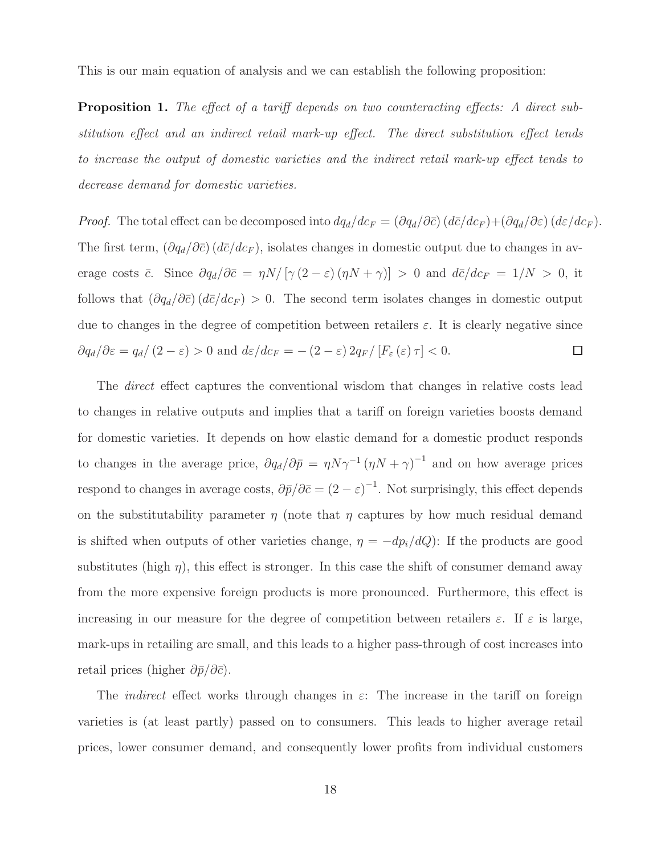This is our main equation of analysis and we can establish the following proposition:

Proposition 1. The effect of a tariff depends on two counteracting effects: A direct substitution effect and an indirect retail mark-up effect. The direct substitution effect tends to increase the output of domestic varieties and the indirect retail mark-up effect tends to decrease demand for domestic varieties.

*Proof.* The total effect can be decomposed into  $dq_d/dc_F = (\partial q_d/\partial \bar{c}) (d\bar{c}/dc_F) + (\partial q_d/\partial \epsilon) (d\epsilon/dc_F)$ . The first term,  $(\partial q_d/\partial \bar{c}) (d\bar{c}/dc_F)$ , isolates changes in domestic output due to changes in average costs  $\bar{c}$ . Since  $\partial q_d/\partial \bar{c} = \eta N/[\gamma (2 - \varepsilon) (\eta N + \gamma)] > 0$  and  $d\bar{c}/dc_F = 1/N > 0$ , it follows that  $(\partial q_d/\partial \bar{c}) (d\bar{c}/dc_F) > 0$ . The second term isolates changes in domestic output due to changes in the degree of competition between retailers  $\varepsilon$ . It is clearly negative since  $\partial q_d/\partial \varepsilon = q_d/(2-\varepsilon) > 0$  and  $d\varepsilon/dc_F = -(2-\varepsilon) 2q_F/[F_\varepsilon(\varepsilon)\tau] < 0$ .  $\Box$ 

The *direct* effect captures the conventional wisdom that changes in relative costs lead to changes in relative outputs and implies that a tariff on foreign varieties boosts demand for domestic varieties. It depends on how elastic demand for a domestic product responds to changes in the average price,  $\partial q_d/\partial \bar{p} = \eta N \gamma^{-1} (\eta N + \gamma)^{-1}$  and on how average prices respond to changes in average costs,  $\partial \bar{p}/\partial \bar{c} = (2 - \varepsilon)^{-1}$ . Not surprisingly, this effect depends on the substitutability parameter  $\eta$  (note that  $\eta$  captures by how much residual demand is shifted when outputs of other varieties change,  $\eta = -dp_i/dQ$ : If the products are good substitutes (high  $\eta$ ), this effect is stronger. In this case the shift of consumer demand away from the more expensive foreign products is more pronounced. Furthermore, this effect is increasing in our measure for the degree of competition between retailers  $\varepsilon$ . If  $\varepsilon$  is large, mark-ups in retailing are small, and this leads to a higher pass-through of cost increases into retail prices (higher  $\partial \bar{p}/\partial \bar{c}$ ).

The *indirect* effect works through changes in  $\varepsilon$ : The increase in the tariff on foreign varieties is (at least partly) passed on to consumers. This leads to higher average retail prices, lower consumer demand, and consequently lower profits from individual customers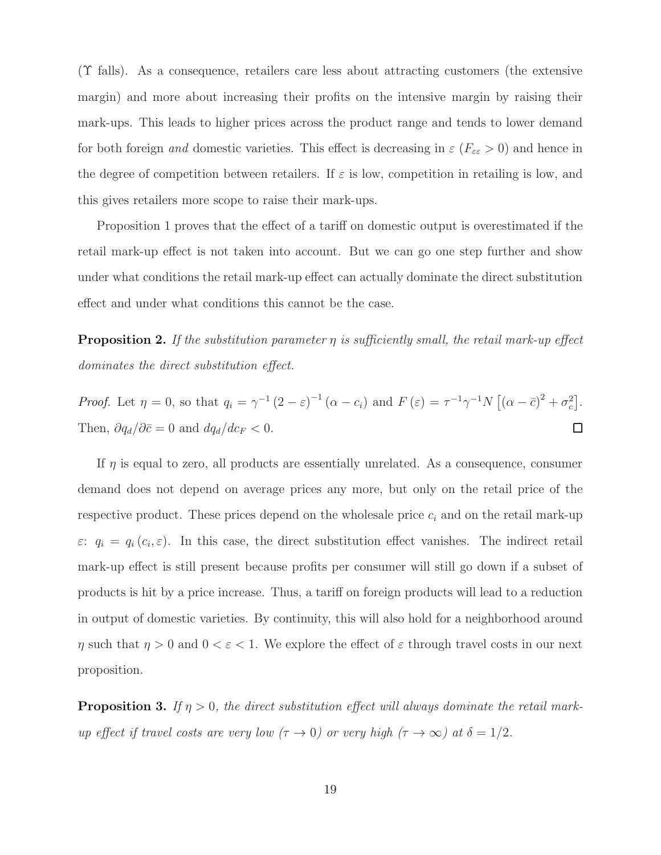(Υ falls). As a consequence, retailers care less about attracting customers (the extensive margin) and more about increasing their profits on the intensive margin by raising their mark-ups. This leads to higher prices across the product range and tends to lower demand for both foreign and domestic varieties. This effect is decreasing in  $\varepsilon$  ( $F_{\varepsilon\varepsilon} > 0$ ) and hence in the degree of competition between retailers. If  $\varepsilon$  is low, competition in retailing is low, and this gives retailers more scope to raise their mark-ups.

Proposition 1 proves that the effect of a tariff on domestic output is overestimated if the retail mark-up effect is not taken into account. But we can go one step further and show under what conditions the retail mark-up effect can actually dominate the direct substitution effect and under what conditions this cannot be the case.

**Proposition 2.** If the substitution parameter  $\eta$  is sufficiently small, the retail mark-up effect dominates the direct substitution effect.

*Proof.* Let 
$$
\eta = 0
$$
, so that  $q_i = \gamma^{-1} (2 - \varepsilon)^{-1} (\alpha - c_i)$  and  $F(\varepsilon) = \tau^{-1} \gamma^{-1} N [(\alpha - \bar{c})^2 + \sigma_c^2]$ .  
Then,  $\partial q_d / \partial \bar{c} = 0$  and  $d q_d / d c_F < 0$ .

If  $\eta$  is equal to zero, all products are essentially unrelated. As a consequence, consumer demand does not depend on average prices any more, but only on the retail price of the respective product. These prices depend on the wholesale price  $c_i$  and on the retail mark-up  $\varepsilon: q_i = q_i(c_i, \varepsilon)$ . In this case, the direct substitution effect vanishes. The indirect retail mark-up effect is still present because profits per consumer will still go down if a subset of products is hit by a price increase. Thus, a tariff on foreign products will lead to a reduction in output of domestic varieties. By continuity, this will also hold for a neighborhood around  $\eta$  such that  $\eta > 0$  and  $0 < \varepsilon < 1$ . We explore the effect of  $\varepsilon$  through travel costs in our next proposition.

**Proposition 3.** If  $\eta > 0$ , the direct substitution effect will always dominate the retail markup effect if travel costs are very low  $(\tau \to 0)$  or very high  $(\tau \to \infty)$  at  $\delta = 1/2$ .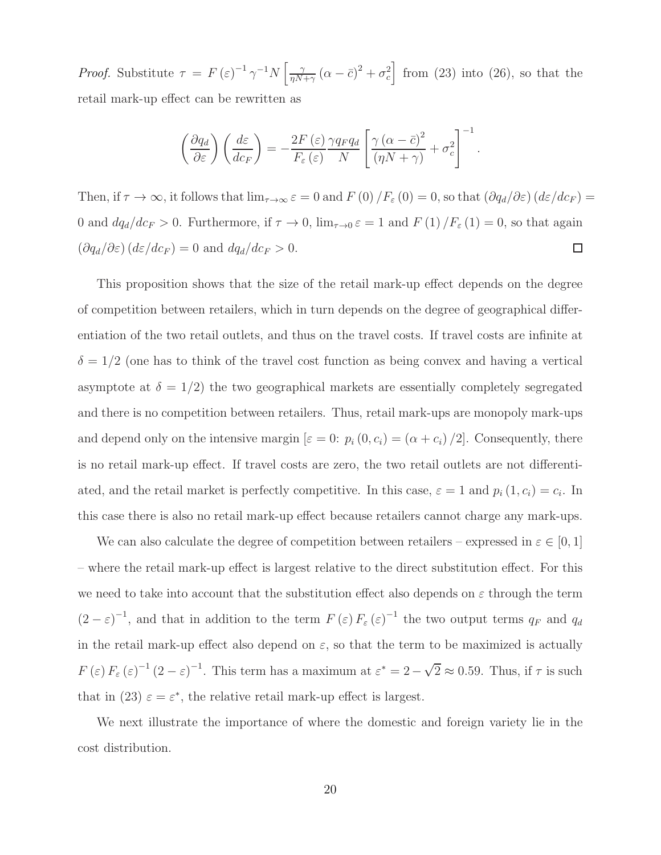*Proof.* Substitute  $\tau = F(\varepsilon)^{-1} \gamma^{-1} N \left[ \frac{\gamma}{n N} \right]$  $\frac{\gamma}{\eta N + \gamma} (\alpha - \bar{c})^2 + \sigma_c^2$  from (23) into (26), so that the retail mark-up effect can be rewritten as

$$
\left(\frac{\partial q_d}{\partial \varepsilon}\right) \left(\frac{d\varepsilon}{dc_F}\right) = -\frac{2F(\varepsilon)}{F_{\varepsilon}(\varepsilon)} \frac{\gamma q_F q_d}{N} \left[\frac{\gamma (\alpha - \bar{c})^2}{(\eta N + \gamma)} + \sigma_c^2\right]^{-1}.
$$

Then, if  $\tau \to \infty$ , it follows that  $\lim_{\tau \to \infty} \varepsilon = 0$  and  $F(0) / F_{\varepsilon}(0) = 0$ , so that  $(\partial q_d / \partial \varepsilon) (d\varepsilon / d\varepsilon_F) =$ 0 and  $dq_d/dc_F > 0$ . Furthermore, if  $\tau \to 0$ ,  $\lim_{\tau \to 0} \varepsilon = 1$  and  $F(1)/F_{\varepsilon}(1) = 0$ , so that again  $\left(\frac{\partial q_d}{\partial \varepsilon}\right)\left(\frac{d\varepsilon}{dc_F}\right) = 0$  and  $dq_d/dc_F > 0$ .  $\Box$ 

This proposition shows that the size of the retail mark-up effect depends on the degree of competition between retailers, which in turn depends on the degree of geographical differentiation of the two retail outlets, and thus on the travel costs. If travel costs are infinite at  $\delta = 1/2$  (one has to think of the travel cost function as being convex and having a vertical asymptote at  $\delta = 1/2$ ) the two geographical markets are essentially completely segregated and there is no competition between retailers. Thus, retail mark-ups are monopoly mark-ups and depend only on the intensive margin  $[\varepsilon = 0: p_i (0, c_i) = (\alpha + c_i)/2]$ . Consequently, there is no retail mark-up effect. If travel costs are zero, the two retail outlets are not differentiated, and the retail market is perfectly competitive. In this case,  $\varepsilon = 1$  and  $p_i(1, c_i) = c_i$ . In this case there is also no retail mark-up effect because retailers cannot charge any mark-ups.

We can also calculate the degree of competition between retailers – expressed in  $\varepsilon \in [0,1]$ – where the retail mark-up effect is largest relative to the direct substitution effect. For this we need to take into account that the substitution effect also depends on  $\varepsilon$  through the term  $(2-\varepsilon)^{-1}$ , and that in addition to the term  $F(\varepsilon) F_{\varepsilon}(\varepsilon)^{-1}$  the two output terms  $q_F$  and  $q_d$ in the retail mark-up effect also depend on  $\varepsilon$ , so that the term to be maximized is actually  $F(\varepsilon) F_{\varepsilon}(\varepsilon)^{-1} (2-\varepsilon)^{-1}$ . This term has a maximum at  $\varepsilon^* = 2 - \sqrt{2} \approx 0.59$ . Thus, if  $\tau$  is such that in (23)  $\varepsilon = \varepsilon^*$ , the relative retail mark-up effect is largest.

We next illustrate the importance of where the domestic and foreign variety lie in the cost distribution.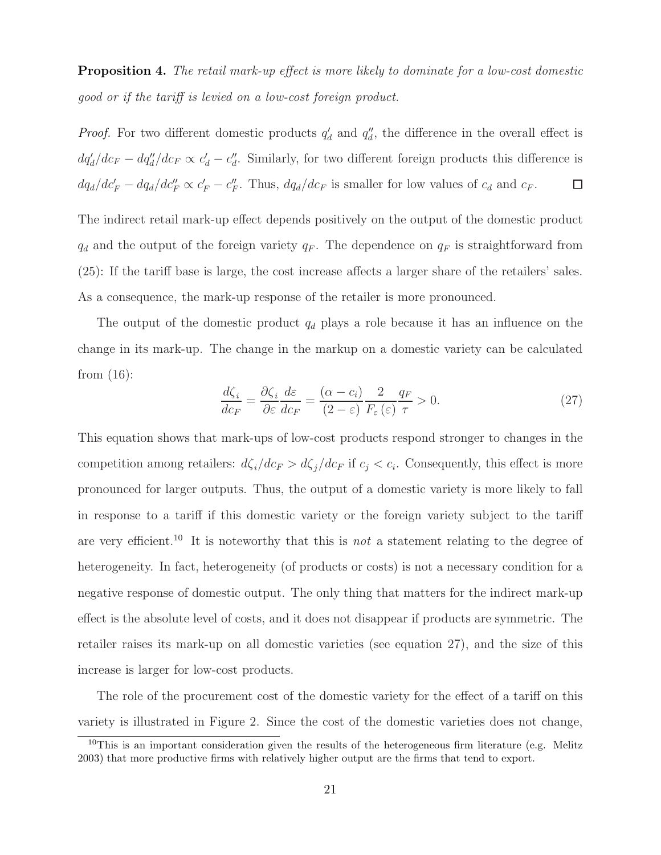**Proposition 4.** The retail mark-up effect is more likely to dominate for a low-cost domestic good or if the tariff is levied on a low-cost foreign product.

*Proof.* For two different domestic products  $q'_{c}$  $d'$  and  $q''_d$  $\eta_{d}^{\prime}$ , the difference in the overall effect is  $dq'_d/dc_F - dq''_d/dc_F \propto c'_d - c''_d$  $\mathcal{L}_d'$ . Similarly, for two different foreign products this difference is  $dq_d/dc'_{F} - dq_d/dc''_{F} \propto c'_{F} - c''_{F}$  $E_F^{\prime}$ . Thus,  $dq_d/dc_F$  is smaller for low values of  $c_d$  and  $c_F$ . □

The indirect retail mark-up effect depends positively on the output of the domestic product  $q_d$  and the output of the foreign variety  $q_F$ . The dependence on  $q_F$  is straightforward from (25): If the tariff base is large, the cost increase affects a larger share of the retailers' sales. As a consequence, the mark-up response of the retailer is more pronounced.

The output of the domestic product  $q_d$  plays a role because it has an influence on the change in its mark-up. The change in the markup on a domestic variety can be calculated from (16):

$$
\frac{d\zeta_i}{dc_F} = \frac{\partial \zeta_i}{\partial \varepsilon} \frac{d\varepsilon}{dc_F} = \frac{(\alpha - c_i)}{(2 - \varepsilon)} \frac{2}{F_\varepsilon(\varepsilon)} \frac{q_F}{\tau} > 0.
$$
\n(27)

This equation shows that mark-ups of low-cost products respond stronger to changes in the competition among retailers:  $d\zeta_i/dc_F > d\zeta_j/dc_F$  if  $c_j < c_i$ . Consequently, this effect is more pronounced for larger outputs. Thus, the output of a domestic variety is more likely to fall in response to a tariff if this domestic variety or the foreign variety subject to the tariff are very efficient.<sup>10</sup> It is noteworthy that this is *not* a statement relating to the degree of heterogeneity. In fact, heterogeneity (of products or costs) is not a necessary condition for a negative response of domestic output. The only thing that matters for the indirect mark-up effect is the absolute level of costs, and it does not disappear if products are symmetric. The retailer raises its mark-up on all domestic varieties (see equation 27), and the size of this increase is larger for low-cost products.

The role of the procurement cost of the domestic variety for the effect of a tariff on this variety is illustrated in Figure 2. Since the cost of the domestic varieties does not change,

<sup>&</sup>lt;sup>10</sup>This is an important consideration given the results of the heterogeneous firm literature (e.g. Melitz 2003) that more productive firms with relatively higher output are the firms that tend to export.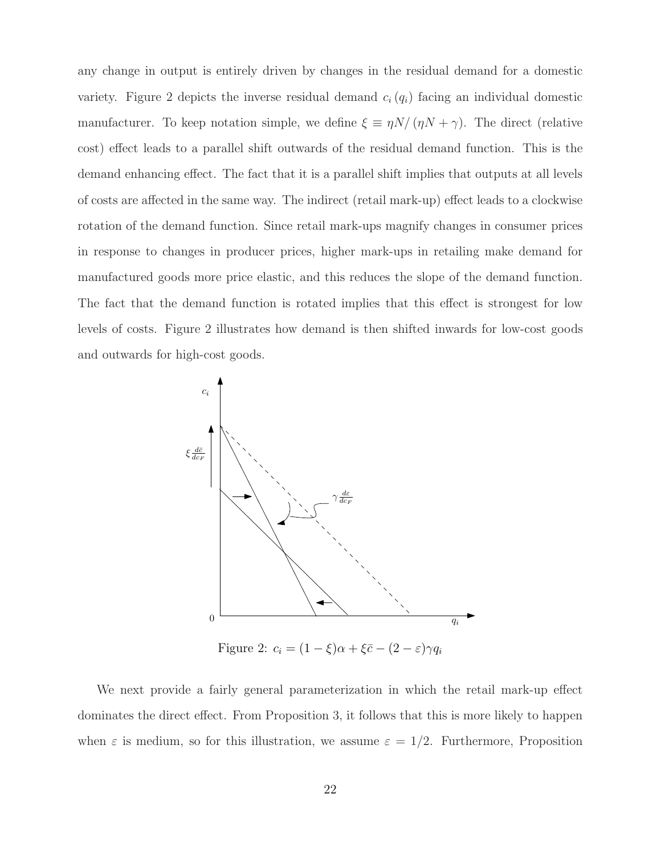any change in output is entirely driven by changes in the residual demand for a domestic variety. Figure 2 depicts the inverse residual demand  $c_i(q_i)$  facing an individual domestic manufacturer. To keep notation simple, we define  $\xi \equiv \eta N/(\eta N + \gamma)$ . The direct (relative cost) effect leads to a parallel shift outwards of the residual demand function. This is the demand enhancing effect. The fact that it is a parallel shift implies that outputs at all levels of costs are affected in the same way. The indirect (retail mark-up) effect leads to a clockwise rotation of the demand function. Since retail mark-ups magnify changes in consumer prices in response to changes in producer prices, higher mark-ups in retailing make demand for manufactured goods more price elastic, and this reduces the slope of the demand function. The fact that the demand function is rotated implies that this effect is strongest for low levels of costs. Figure 2 illustrates how demand is then shifted inwards for low-cost goods and outwards for high-cost goods.



Figure 2:  $c_i = (1 - \xi)\alpha + \xi\bar{c} - (2 - \varepsilon)\gamma q_i$ 

We next provide a fairly general parameterization in which the retail mark-up effect dominates the direct effect. From Proposition 3, it follows that this is more likely to happen when  $\varepsilon$  is medium, so for this illustration, we assume  $\varepsilon = 1/2$ . Furthermore, Proposition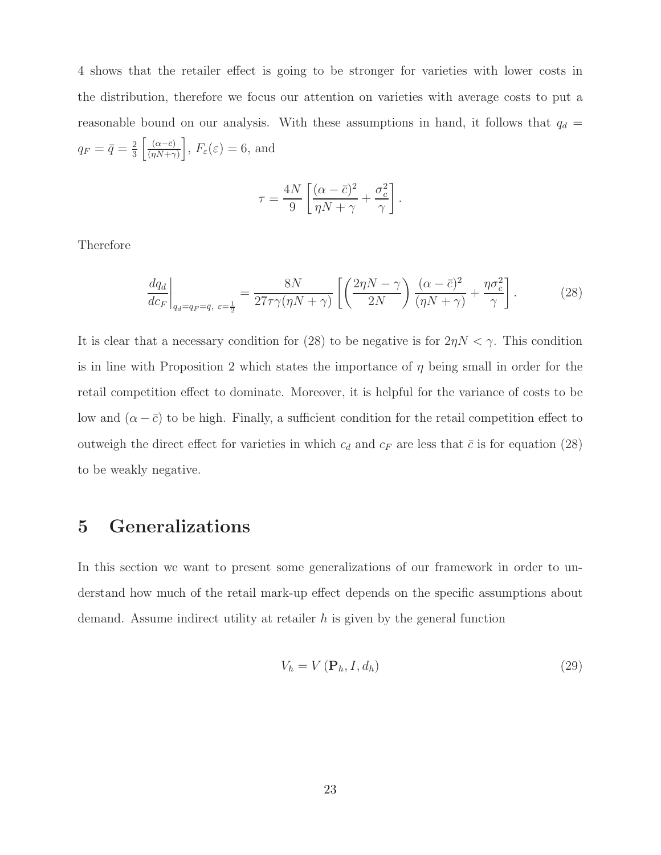4 shows that the retailer effect is going to be stronger for varieties with lower costs in the distribution, therefore we focus our attention on varieties with average costs to put a reasonable bound on our analysis. With these assumptions in hand, it follows that  $q_d$  =  $q_F = \bar{q} = \frac{2}{3}$  $rac{2}{3}$   $\left[\frac{(\alpha-\bar{c})}{(\eta N+\gamma)}\right]$  $\left. \frac{(\alpha - \bar{c})}{(\eta N + \gamma)} \right], F_{\varepsilon}(\varepsilon) = 6$ , and

$$
\tau = \frac{4N}{9} \left[ \frac{(\alpha - \bar{c})^2}{\eta N + \gamma} + \frac{\sigma_c^2}{\gamma} \right].
$$

Therefore

$$
\left. \frac{dq_d}{dc_F} \right|_{q_d = q_F = \bar{q}, \ \varepsilon = \frac{1}{2}} = \frac{8N}{27\tau\gamma(\eta N + \gamma)} \left[ \left( \frac{2\eta N - \gamma}{2N} \right) \frac{(\alpha - \bar{c})^2}{(\eta N + \gamma)} + \frac{\eta \sigma_c^2}{\gamma} \right]. \tag{28}
$$

It is clear that a necessary condition for (28) to be negative is for  $2\eta N < \gamma$ . This condition is in line with Proposition 2 which states the importance of  $\eta$  being small in order for the retail competition effect to dominate. Moreover, it is helpful for the variance of costs to be low and  $(\alpha - \bar{c})$  to be high. Finally, a sufficient condition for the retail competition effect to outweigh the direct effect for varieties in which  $c_d$  and  $c_F$  are less that  $\bar{c}$  is for equation (28) to be weakly negative.

## 5 Generalizations

In this section we want to present some generalizations of our framework in order to understand how much of the retail mark-up effect depends on the specific assumptions about demand. Assume indirect utility at retailer  $h$  is given by the general function

$$
V_h = V\left(\mathbf{P}_h, I, d_h\right) \tag{29}
$$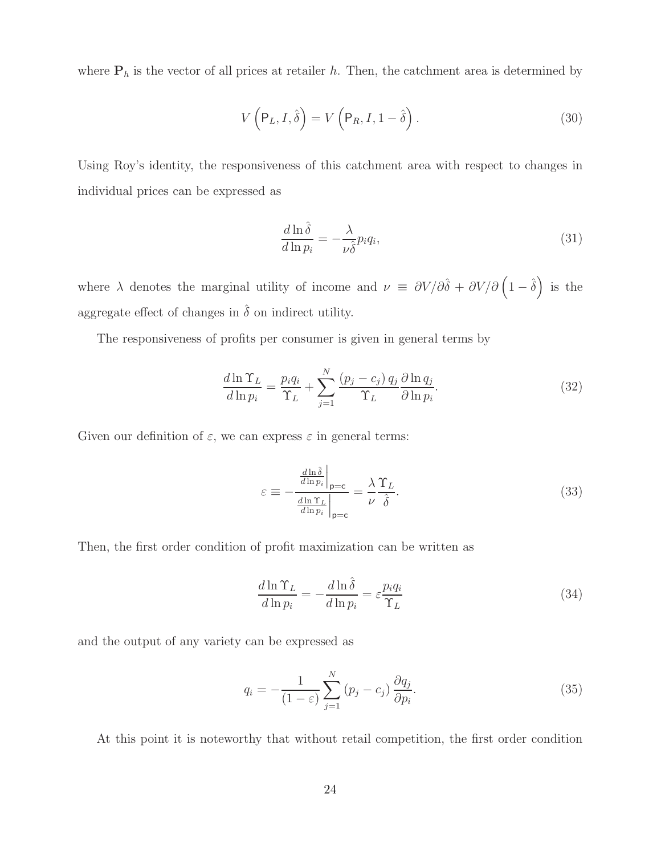where  $P_h$  is the vector of all prices at retailer h. Then, the catchment area is determined by

$$
V\left(\mathsf{P}_L, I, \hat{\delta}\right) = V\left(\mathsf{P}_R, I, 1-\hat{\delta}\right). \tag{30}
$$

Using Roy's identity, the responsiveness of this catchment area with respect to changes in individual prices can be expressed as

$$
\frac{d\ln\hat{\delta}}{d\ln p_i} = -\frac{\lambda}{\nu \hat{\delta}} p_i q_i,\tag{31}
$$

where  $\lambda$  denotes the marginal utility of income and  $\nu \equiv \partial V/\partial \hat{\delta} + \partial V/\partial (\hat{1} - \hat{\delta})$  is the aggregate effect of changes in  $\hat{\delta}$  on indirect utility.

The responsiveness of profits per consumer is given in general terms by

$$
\frac{d\ln\Upsilon_L}{d\ln p_i} = \frac{p_i q_i}{\Upsilon_L} + \sum_{j=1}^N \frac{(p_j - c_j) q_j}{\Upsilon_L} \frac{\partial \ln q_j}{\partial \ln p_i}.
$$
\n(32)

Given our definition of  $\varepsilon$ , we can express  $\varepsilon$  in general terms:

$$
\varepsilon \equiv -\frac{\frac{d\ln\hat{\delta}}{d\ln p_i}\Big|_{\mathbf{p}=\mathbf{c}}}{\frac{d\ln\Upsilon_L}{d\ln p_i}\Big|_{\mathbf{p}=\mathbf{c}}} = \frac{\lambda}{\nu} \frac{\Upsilon_L}{\hat{\delta}}.
$$
\n(33)

Then, the first order condition of profit maximization can be written as

$$
\frac{d\ln\Upsilon_L}{d\ln p_i} = -\frac{d\ln\hat{\delta}}{d\ln p_i} = \varepsilon \frac{p_i q_i}{\Upsilon_L} \tag{34}
$$

and the output of any variety can be expressed as

$$
q_i = -\frac{1}{(1-\varepsilon)} \sum_{j=1}^{N} (p_j - c_j) \frac{\partial q_j}{\partial p_i}.
$$
 (35)

At this point it is noteworthy that without retail competition, the first order condition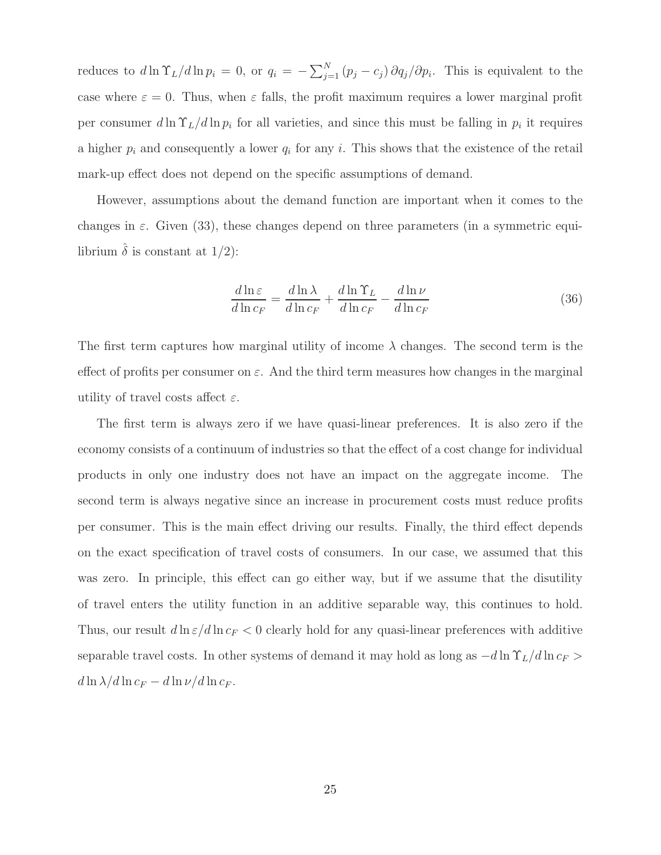reduces to  $d\ln \Upsilon_L/d\ln p_i = 0$ , or  $q_i = -\sum_{j=1}^N (p_j - c_j) \partial q_j/\partial p_i$ . This is equivalent to the case where  $\varepsilon = 0$ . Thus, when  $\varepsilon$  falls, the profit maximum requires a lower marginal profit per consumer  $d \ln \Upsilon_L / d \ln p_i$  for all varieties, and since this must be falling in  $p_i$  it requires a higher  $p_i$  and consequently a lower  $q_i$  for any i. This shows that the existence of the retail mark-up effect does not depend on the specific assumptions of demand.

However, assumptions about the demand function are important when it comes to the changes in  $\varepsilon$ . Given (33), these changes depend on three parameters (in a symmetric equilibrium  $\hat{\delta}$  is constant at 1/2):

$$
\frac{d\ln \varepsilon}{d\ln c_F} = \frac{d\ln \lambda}{d\ln c_F} + \frac{d\ln \Upsilon_L}{d\ln c_F} - \frac{d\ln \nu}{d\ln c_F}
$$
(36)

The first term captures how marginal utility of income  $\lambda$  changes. The second term is the effect of profits per consumer on  $\varepsilon$ . And the third term measures how changes in the marginal utility of travel costs affect  $\varepsilon$ .

The first term is always zero if we have quasi-linear preferences. It is also zero if the economy consists of a continuum of industries so that the effect of a cost change for individual products in only one industry does not have an impact on the aggregate income. The second term is always negative since an increase in procurement costs must reduce profits per consumer. This is the main effect driving our results. Finally, the third effect depends on the exact specification of travel costs of consumers. In our case, we assumed that this was zero. In principle, this effect can go either way, but if we assume that the disutility of travel enters the utility function in an additive separable way, this continues to hold. Thus, our result  $d \ln \varepsilon/d \ln c_F < 0$  clearly hold for any quasi-linear preferences with additive separable travel costs. In other systems of demand it may hold as long as  $-d \ln \Upsilon_L/d \ln c_F$  >  $d \ln \lambda / d \ln c_F - d \ln \nu / d \ln c_F.$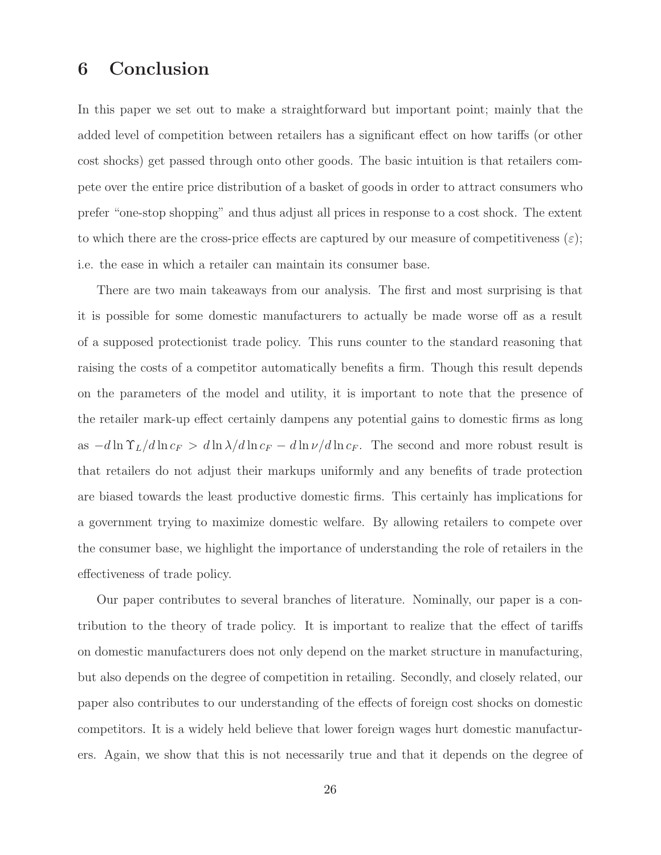### 6 Conclusion

In this paper we set out to make a straightforward but important point; mainly that the added level of competition between retailers has a significant effect on how tariffs (or other cost shocks) get passed through onto other goods. The basic intuition is that retailers compete over the entire price distribution of a basket of goods in order to attract consumers who prefer "one-stop shopping" and thus adjust all prices in response to a cost shock. The extent to which there are the cross-price effects are captured by our measure of competitiveness  $(\varepsilon)$ ; i.e. the ease in which a retailer can maintain its consumer base.

There are two main takeaways from our analysis. The first and most surprising is that it is possible for some domestic manufacturers to actually be made worse off as a result of a supposed protectionist trade policy. This runs counter to the standard reasoning that raising the costs of a competitor automatically benefits a firm. Though this result depends on the parameters of the model and utility, it is important to note that the presence of the retailer mark-up effect certainly dampens any potential gains to domestic firms as long as  $-d \ln \Upsilon_L/d \ln c_F > d \ln \lambda/d \ln c_F - d \ln \nu/d \ln c_F$ . The second and more robust result is that retailers do not adjust their markups uniformly and any benefits of trade protection are biased towards the least productive domestic firms. This certainly has implications for a government trying to maximize domestic welfare. By allowing retailers to compete over the consumer base, we highlight the importance of understanding the role of retailers in the effectiveness of trade policy.

Our paper contributes to several branches of literature. Nominally, our paper is a contribution to the theory of trade policy. It is important to realize that the effect of tariffs on domestic manufacturers does not only depend on the market structure in manufacturing, but also depends on the degree of competition in retailing. Secondly, and closely related, our paper also contributes to our understanding of the effects of foreign cost shocks on domestic competitors. It is a widely held believe that lower foreign wages hurt domestic manufacturers. Again, we show that this is not necessarily true and that it depends on the degree of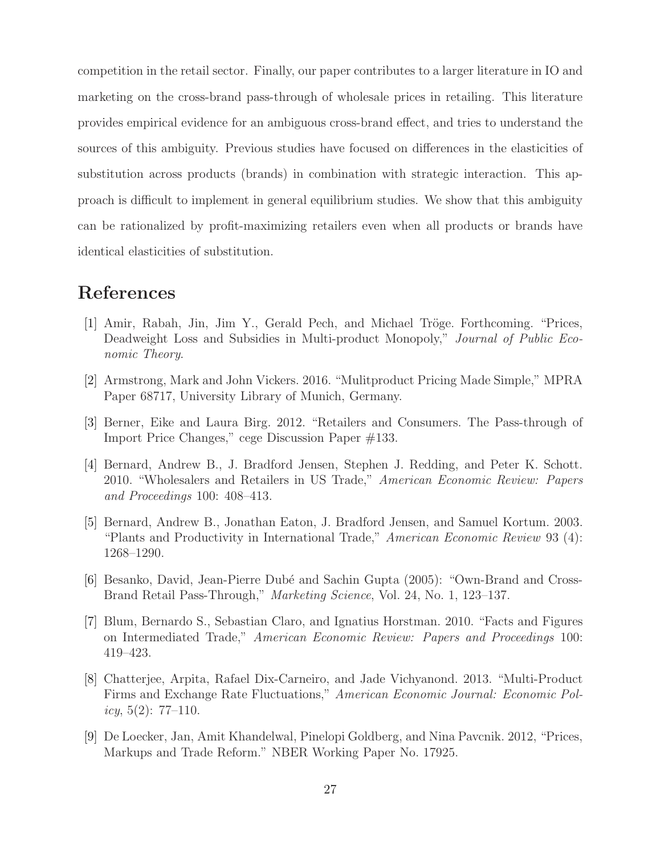competition in the retail sector. Finally, our paper contributes to a larger literature in IO and marketing on the cross-brand pass-through of wholesale prices in retailing. This literature provides empirical evidence for an ambiguous cross-brand effect, and tries to understand the sources of this ambiguity. Previous studies have focused on differences in the elasticities of substitution across products (brands) in combination with strategic interaction. This approach is difficult to implement in general equilibrium studies. We show that this ambiguity can be rationalized by profit-maximizing retailers even when all products or brands have identical elasticities of substitution.

### References

- [1] Amir, Rabah, Jin, Jim Y., Gerald Pech, and Michael Tröge. Forthcoming. "Prices, Deadweight Loss and Subsidies in Multi-product Monopoly," Journal of Public Economic Theory.
- [2] Armstrong, Mark and John Vickers. 2016. "Mulitproduct Pricing Made Simple," MPRA Paper 68717, University Library of Munich, Germany.
- [3] Berner, Eike and Laura Birg. 2012. "Retailers and Consumers. The Pass-through of Import Price Changes," cege Discussion Paper #133.
- [4] Bernard, Andrew B., J. Bradford Jensen, Stephen J. Redding, and Peter K. Schott. 2010. "Wholesalers and Retailers in US Trade," American Economic Review: Papers and Proceedings 100: 408–413.
- [5] Bernard, Andrew B., Jonathan Eaton, J. Bradford Jensen, and Samuel Kortum. 2003. "Plants and Productivity in International Trade," American Economic Review 93 (4): 1268–1290.
- [6] Besanko, David, Jean-Pierre Dubé and Sachin Gupta (2005): "Own-Brand and Cross-Brand Retail Pass-Through," Marketing Science, Vol. 24, No. 1, 123–137.
- [7] Blum, Bernardo S., Sebastian Claro, and Ignatius Horstman. 2010. "Facts and Figures on Intermediated Trade," American Economic Review: Papers and Proceedings 100: 419–423.
- [8] Chatterjee, Arpita, Rafael Dix-Carneiro, and Jade Vichyanond. 2013. "Multi-Product Firms and Exchange Rate Fluctuations," American Economic Journal: Economic Policy,  $5(2)$ : 77-110.
- [9] De Loecker, Jan, Amit Khandelwal, Pinelopi Goldberg, and Nina Pavcnik. 2012, "Prices, Markups and Trade Reform." NBER Working Paper No. 17925.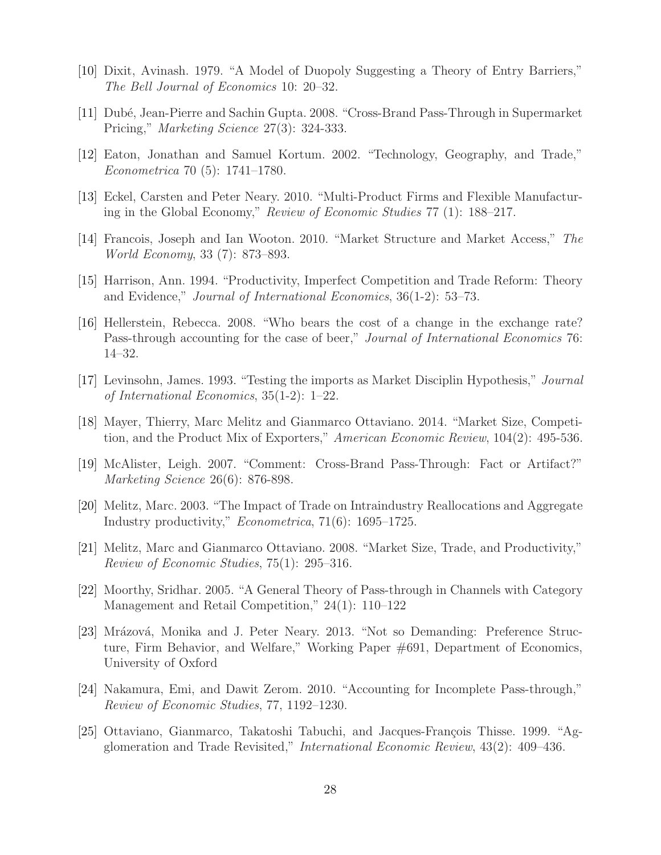- [10] Dixit, Avinash. 1979. "A Model of Duopoly Suggesting a Theory of Entry Barriers," The Bell Journal of Economics 10: 20–32.
- [11] Dubé, Jean-Pierre and Sachin Gupta. 2008. "Cross-Brand Pass-Through in Supermarket Pricing," Marketing Science 27(3): 324-333.
- [12] Eaton, Jonathan and Samuel Kortum. 2002. "Technology, Geography, and Trade," Econometrica 70 (5): 1741–1780.
- [13] Eckel, Carsten and Peter Neary. 2010. "Multi-Product Firms and Flexible Manufacturing in the Global Economy," Review of Economic Studies 77 (1): 188–217.
- [14] Francois, Joseph and Ian Wooton. 2010. "Market Structure and Market Access," The World Economy, 33 (7): 873–893.
- [15] Harrison, Ann. 1994. "Productivity, Imperfect Competition and Trade Reform: Theory and Evidence," Journal of International Economics, 36(1-2): 53–73.
- [16] Hellerstein, Rebecca. 2008. "Who bears the cost of a change in the exchange rate? Pass-through accounting for the case of beer," *Journal of International Economics* 76: 14–32.
- [17] Levinsohn, James. 1993. "Testing the imports as Market Disciplin Hypothesis," Journal of International Economics, 35(1-2): 1–22.
- [18] Mayer, Thierry, Marc Melitz and Gianmarco Ottaviano. 2014. "Market Size, Competition, and the Product Mix of Exporters," American Economic Review, 104(2): 495-536.
- [19] McAlister, Leigh. 2007. "Comment: Cross-Brand Pass-Through: Fact or Artifact?" Marketing Science 26(6): 876-898.
- [20] Melitz, Marc. 2003. "The Impact of Trade on Intraindustry Reallocations and Aggregate Industry productivity," Econometrica, 71(6): 1695–1725.
- [21] Melitz, Marc and Gianmarco Ottaviano. 2008. "Market Size, Trade, and Productivity," Review of Economic Studies, 75(1): 295–316.
- [22] Moorthy, Sridhar. 2005. "A General Theory of Pass-through in Channels with Category Management and Retail Competition," 24(1): 110–122
- [23] Mrázová, Monika and J. Peter Neary. 2013. "Not so Demanding: Preference Structure, Firm Behavior, and Welfare," Working Paper #691, Department of Economics, University of Oxford
- [24] Nakamura, Emi, and Dawit Zerom. 2010. "Accounting for Incomplete Pass-through," Review of Economic Studies, 77, 1192–1230.
- [25] Ottaviano, Gianmarco, Takatoshi Tabuchi, and Jacques-François Thisse. 1999. "Agglomeration and Trade Revisited," International Economic Review, 43(2): 409–436.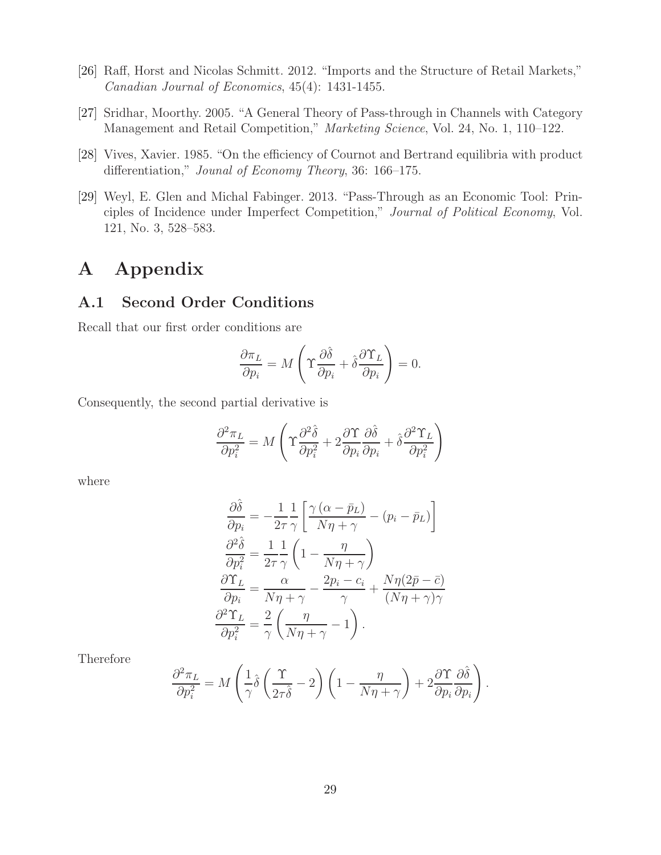- [26] Raff, Horst and Nicolas Schmitt. 2012. "Imports and the Structure of Retail Markets," Canadian Journal of Economics, 45(4): 1431-1455.
- [27] Sridhar, Moorthy. 2005. "A General Theory of Pass-through in Channels with Category Management and Retail Competition," Marketing Science, Vol. 24, No. 1, 110-122.
- [28] Vives, Xavier. 1985. "On the efficiency of Cournot and Bertrand equilibria with product differentiation," Jounal of Economy Theory, 36: 166–175.
- [29] Weyl, E. Glen and Michal Fabinger. 2013. "Pass-Through as an Economic Tool: Principles of Incidence under Imperfect Competition," Journal of Political Economy, Vol. 121, No. 3, 528–583.

## A Appendix

#### A.1 Second Order Conditions

Recall that our first order conditions are

$$
\frac{\partial \pi_L}{\partial p_i} = M \left( \Upsilon \frac{\partial \hat{\delta}}{\partial p_i} + \hat{\delta} \frac{\partial \Upsilon_L}{\partial p_i} \right) = 0.
$$

Consequently, the second partial derivative is

$$
\frac{\partial^2 \pi_L}{\partial p_i^2} = M \left( \Upsilon \frac{\partial^2 \hat{\delta}}{\partial p_i^2} + 2 \frac{\partial \Upsilon}{\partial p_i} \frac{\partial \hat{\delta}}{\partial p_i} + \hat{\delta} \frac{\partial^2 \Upsilon_L}{\partial p_i^2} \right)
$$

where

$$
\frac{\partial \hat{\delta}}{\partial p_i} = -\frac{1}{2\tau} \frac{1}{\gamma} \left[ \frac{\gamma (\alpha - \bar{p}_L)}{N\eta + \gamma} - (p_i - \bar{p}_L) \right]
$$

$$
\frac{\partial^2 \hat{\delta}}{\partial p_i^2} = \frac{1}{2\tau} \frac{1}{\gamma} \left( 1 - \frac{\eta}{N\eta + \gamma} \right)
$$

$$
\frac{\partial \Upsilon_L}{\partial p_i} = \frac{\alpha}{N\eta + \gamma} - \frac{2p_i - c_i}{\gamma} + \frac{N\eta (2\bar{p} - \bar{c})}{(N\eta + \gamma)\gamma}
$$

$$
\frac{\partial^2 \Upsilon_L}{\partial p_i^2} = \frac{2}{\gamma} \left( \frac{\eta}{N\eta + \gamma} - 1 \right).
$$

Therefore

$$
\frac{\partial^2 \pi_L}{\partial p_i^2} = M \left( \frac{1}{\gamma} \hat{\delta} \left( \frac{\Upsilon}{2\tau \hat{\delta}} - 2 \right) \left( 1 - \frac{\eta}{N\eta + \gamma} \right) + 2 \frac{\partial \Upsilon}{\partial p_i} \frac{\partial \hat{\delta}}{\partial p_i} \right).
$$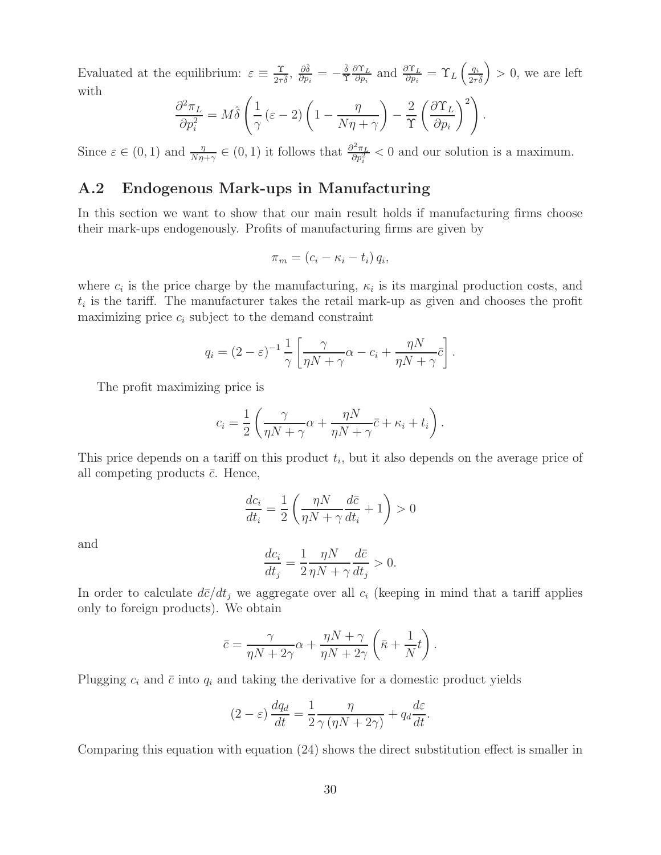Evaluated at the equilibrium:  $\varepsilon \equiv \frac{\gamma}{2\tau}$  $\frac{\Upsilon}{2\tau\hat{\delta}},\; \frac{\partial\hat{\delta}}{\partial p_i}$  $\frac{\partial \hat{\delta}}{\partial p_i} = - \frac{\hat{\delta}}{\Upsilon}$ Υ  $\partial \Upsilon_L$  $\frac{\partial \Upsilon_L}{\partial p_i}$  and  $\frac{\partial \Upsilon_L}{\partial p_i} = \Upsilon_L \left(\frac{q_i}{2\tau}\right)$  $2\tau$ δ  $\big) > 0$ , we are left with

$$
\frac{\partial^2 \pi_L}{\partial p_i^2} = M \hat{\delta} \left( \frac{1}{\gamma} (\varepsilon - 2) \left( 1 - \frac{\eta}{N\eta + \gamma} \right) - \frac{2}{\Upsilon} \left( \frac{\partial \Upsilon_L}{\partial p_i} \right)^2 \right).
$$

Since  $\varepsilon \in (0, 1)$  and  $\frac{\eta}{N\eta + \gamma} \in (0, 1)$  it follows that  $\frac{\partial^2 \pi_L}{\partial p_i^2}$  $\frac{\partial^2 \pi_L}{\partial p_i^2}$  < 0 and our solution is a maximum.

#### A.2 Endogenous Mark-ups in Manufacturing

In this section we want to show that our main result holds if manufacturing firms choose their mark-ups endogenously. Profits of manufacturing firms are given by

$$
\pi_m = (c_i - \kappa_i - t_i) q_i,
$$

where  $c_i$  is the price charge by the manufacturing,  $\kappa_i$  is its marginal production costs, and  $t_i$  is the tariff. The manufacturer takes the retail mark-up as given and chooses the profit maximizing price  $c_i$  subject to the demand constraint

$$
q_i = (2 - \varepsilon)^{-1} \frac{1}{\gamma} \left[ \frac{\gamma}{\eta N + \gamma} \alpha - c_i + \frac{\eta N}{\eta N + \gamma} \overline{c} \right].
$$

The profit maximizing price is

$$
c_i = \frac{1}{2} \left( \frac{\gamma}{\eta N + \gamma} \alpha + \frac{\eta N}{\eta N + \gamma} \bar{c} + \kappa_i + t_i \right).
$$

This price depends on a tariff on this product  $t_i$ , but it also depends on the average price of all competing products  $\bar{c}$ . Hence,

$$
\frac{dc_i}{dt_i} = \frac{1}{2} \left( \frac{\eta N}{\eta N + \gamma} \frac{d\bar{c}}{dt_i} + 1 \right) > 0
$$

and

$$
\frac{dc_i}{dt_j} = \frac{1}{2} \frac{\eta N}{\eta N + \gamma} \frac{d\bar{c}}{dt_j} > 0.
$$

In order to calculate  $d\bar{c}/dt_i$  we aggregate over all  $c_i$  (keeping in mind that a tariff applies only to foreign products). We obtain

$$
\bar{c} = \frac{\gamma}{\eta N + 2\gamma} \alpha + \frac{\eta N + \gamma}{\eta N + 2\gamma} \left( \bar{\kappa} + \frac{1}{N} t \right).
$$

Plugging  $c_i$  and  $\bar{c}$  into  $q_i$  and taking the derivative for a domestic product yields

$$
(2 - \varepsilon) \frac{dq_d}{dt} = \frac{1}{2} \frac{\eta}{\gamma (\eta N + 2\gamma)} + q_d \frac{d\varepsilon}{dt}.
$$

Comparing this equation with equation (24) shows the direct substitution effect is smaller in